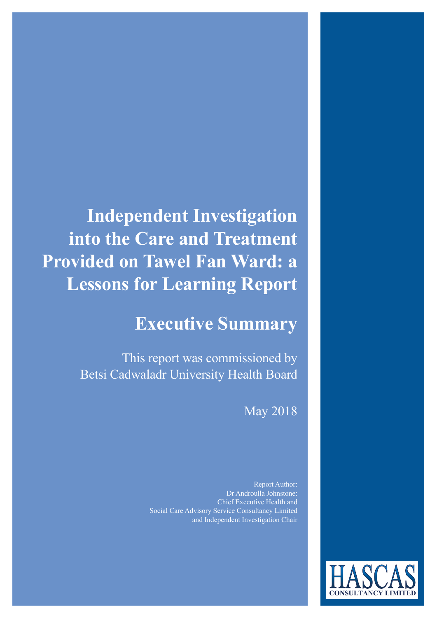**Independent Investigation into the Care and Treatment Provided on Tawel Fan Ward: a Lessons for Learning Report**

### **Executive Summary**

This report was commissioned by Betsi Cadwaladr University Health Board

May 2018

Report Author: Dr Androulla Johnstone: Chief Executive Health and Social Care Advisory Service Consultancy Limited and Independent Investigation Chair

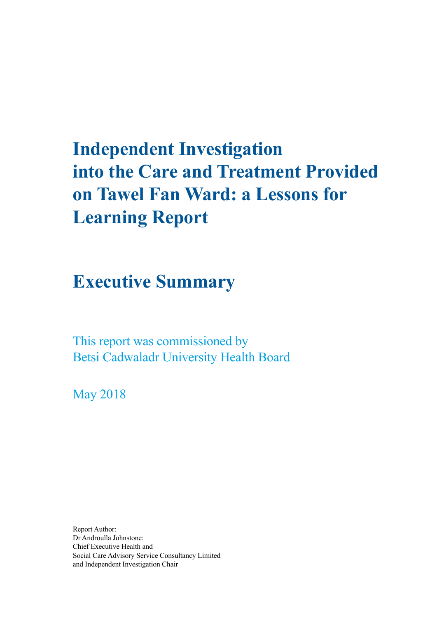# **Independent Investigation into the Care and Treatment Provided on Tawel Fan Ward: a Lessons for Learning Report**

### **Executive Summary**

This report was commissioned by Betsi Cadwaladr University Health Board

May 2018

Report Author: Dr Androulla Johnstone: Chief Executive Health and Social Care Advisory Service Consultancy Limited and Independent Investigation Chair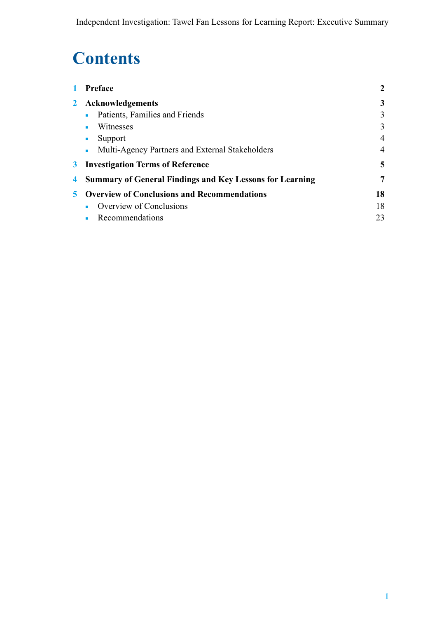## **Contents**

| $\mathbf{1}$ | Preface                                                           | $\overline{2}$ |
|--------------|-------------------------------------------------------------------|----------------|
| $\mathbf{2}$ | <b>Acknowledgements</b>                                           | 3              |
|              | Patients, Families and Friends                                    | 3              |
|              | Witnesses<br>٠                                                    | 3              |
|              | Support<br>$\blacksquare$                                         | $\overline{4}$ |
|              | Multi-Agency Partners and External Stakeholders<br>$\blacksquare$ | $\overline{4}$ |
|              | <b>3</b> Investigation Terms of Reference                         | 5              |
| 4            | <b>Summary of General Findings and Key Lessons for Learning</b>   | 7              |
|              | <b>5</b> Overview of Conclusions and Recommendations              | 18             |
|              | Overview of Conclusions<br>п.                                     | 18             |
|              | Recommendations                                                   | 23             |
|              |                                                                   |                |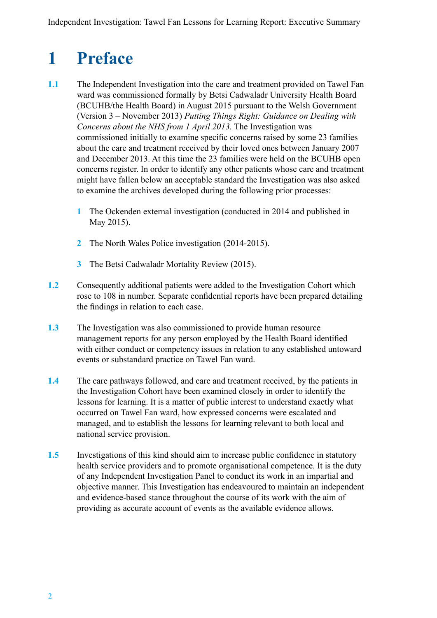## <span id="page-3-0"></span>**1 Preface**

- **1.1** The Independent Investigation into the care and treatment provided on Tawel Fan ward was commissioned formally by Betsi Cadwaladr University Health Board (BCUHB/the Health Board) in August 2015 pursuant to the Welsh Government (Version 3 – November 2013) *Putting Things Right: Guidance on Dealing with Concerns about the NHS from 1 April 2013.* The Investigation was commissioned initially to examine specific concerns raised by some 23 families about the care and treatment received by their loved ones between January 2007 and December 2013. At this time the 23 families were held on the BCUHB open concerns register. In order to identify any other patients whose care and treatment might have fallen below an acceptable standard the Investigation was also asked to examine the archives developed during the following prior processes:
	- **1** The Ockenden external investigation (conducted in 2014 and published in May 2015).
	- **2** The North Wales Police investigation (2014-2015).
	- **3** The Betsi Cadwaladr Mortality Review (2015).
- **1.2** Consequently additional patients were added to the Investigation Cohort which rose to 108 in number. Separate confidential reports have been prepared detailing the findings in relation to each case.
- **1.3** The Investigation was also commissioned to provide human resource management reports for any person employed by the Health Board identified with either conduct or competency issues in relation to any established untoward events or substandard practice on Tawel Fan ward.
- **1.4** The care pathways followed, and care and treatment received, by the patients in the Investigation Cohort have been examined closely in order to identify the lessons for learning. It is a matter of public interest to understand exactly what occurred on Tawel Fan ward, how expressed concerns were escalated and managed, and to establish the lessons for learning relevant to both local and national service provision.
- **1.5** Investigations of this kind should aim to increase public confidence in statutory health service providers and to promote organisational competence. It is the duty of any Independent Investigation Panel to conduct its work in an impartial and objective manner. This Investigation has endeavoured to maintain an independent and evidence-based stance throughout the course of its work with the aim of providing as accurate account of events as the available evidence allows.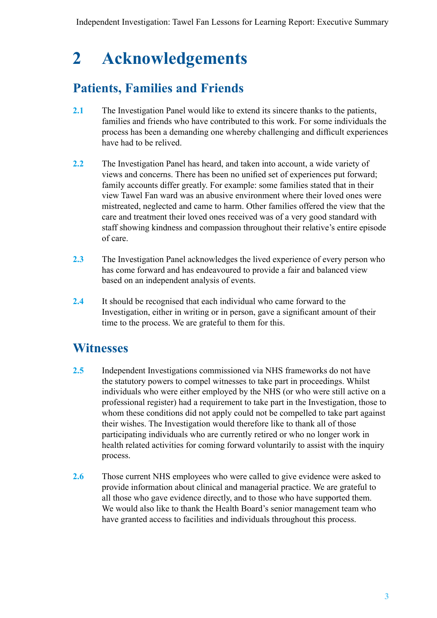## <span id="page-4-0"></span>**2 Acknowledgements**

### **Patients, Families and Friends**

- **2.1** The Investigation Panel would like to extend its sincere thanks to the patients, families and friends who have contributed to this work. For some individuals the process has been a demanding one whereby challenging and difficult experiences have had to be relived.
- **2.2** The Investigation Panel has heard, and taken into account, a wide variety of views and concerns. There has been no unified set of experiences put forward; family accounts differ greatly. For example: some families stated that in their view Tawel Fan ward was an abusive environment where their loved ones were mistreated, neglected and came to harm. Other families offered the view that the care and treatment their loved ones received was of a very good standard with staff showing kindness and compassion throughout their relative's entire episode of care.
- **2.3** The Investigation Panel acknowledges the lived experience of every person who has come forward and has endeavoured to provide a fair and balanced view based on an independent analysis of events.
- **2.4** It should be recognised that each individual who came forward to the Investigation, either in writing or in person, gave a significant amount of their time to the process. We are grateful to them for this.

### **Witnesses**

- **2.5** Independent Investigations commissioned via NHS frameworks do not have the statutory powers to compel witnesses to take part in proceedings. Whilst individuals who were either employed by the NHS (or who were still active on a professional register) had a requirement to take part in the Investigation, those to whom these conditions did not apply could not be compelled to take part against their wishes. The Investigation would therefore like to thank all of those participating individuals who are currently retired or who no longer work in health related activities for coming forward voluntarily to assist with the inquiry process.
- **2.6** Those current NHS employees who were called to give evidence were asked to provide information about clinical and managerial practice. We are grateful to all those who gave evidence directly, and to those who have supported them. We would also like to thank the Health Board's senior management team who have granted access to facilities and individuals throughout this process.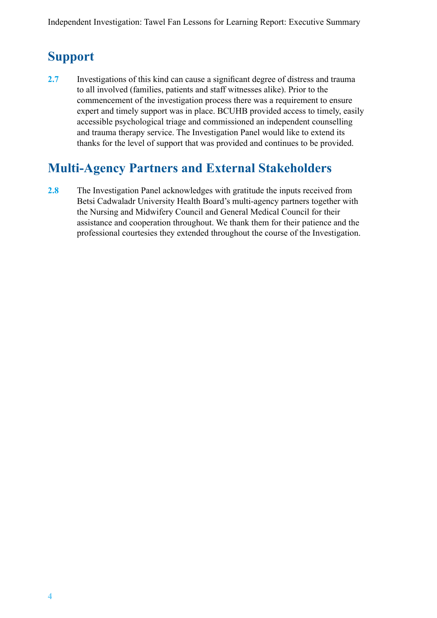### <span id="page-5-0"></span>**Support**

**2.7** Investigations of this kind can cause a significant degree of distress and trauma to all involved (families, patients and staff witnesses alike). Prior to the commencement of the investigation process there was a requirement to ensure expert and timely support was in place. BCUHB provided access to timely, easily accessible psychological triage and commissioned an independent counselling and trauma therapy service. The Investigation Panel would like to extend its thanks for the level of support that was provided and continues to be provided.

### **Multi-Agency Partners and External Stakeholders**

**2.8** The Investigation Panel acknowledges with gratitude the inputs received from Betsi Cadwaladr University Health Board's multi-agency partners together with the Nursing and Midwifery Council and General Medical Council for their assistance and cooperation throughout. We thank them for their patience and the professional courtesies they extended throughout the course of the Investigation.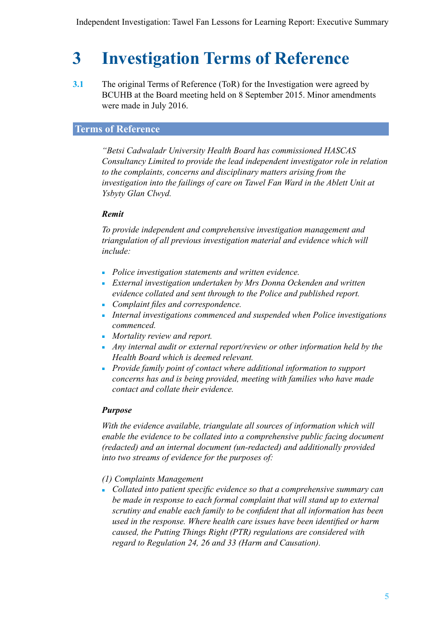## <span id="page-6-0"></span>**3 Investigation Terms of Reference**

**3.1** The original Terms of Reference (ToR) for the Investigation were agreed by BCUHB at the Board meeting held on 8 September 2015. Minor amendments were made in July 2016.

#### **Terms of Reference**

*"Betsi Cadwaladr University Health Board has commissioned HASCAS Consultancy Limited to provide the lead independent investigator role in relation to the complaints, concerns and disciplinary matters arising from the investigation into the failings of care on Tawel Fan Ward in the Ablett Unit at Ysbyty Glan Clwyd.*

#### *Remit*

*To provide independent and comprehensive investigation management and triangulation of all previous investigation material and evidence which will include:*

- *Police investigation statements and written evidence.*
- *External investigation undertaken by Mrs Donna Ockenden and written evidence collated and sent through to the Police and published report.*
- *Complaint files and correspondence.*
- *Internal investigations commenced and suspended when Police investigations commenced.*
- *Mortality review and report.*
- *Any internal audit or external report/review or other information held by the Health Board which is deemed relevant.*
- *Provide family point of contact where additional information to support concerns has and is being provided, meeting with families who have made contact and collate their evidence.*

#### *Purpose*

*With the evidence available, triangulate all sources of information which will enable the evidence to be collated into a comprehensive public facing document (redacted) and an internal document (un-redacted) and additionally provided into two streams of evidence for the purposes of:*

#### *(1) Complaints Management*

■ *Collated into patient specific evidence so that a comprehensive summary can be made in response to each formal complaint that will stand up to external scrutiny and enable each family to be confident that all information has been used in the response. Where health care issues have been identified or harm caused, the Putting Things Right (PTR) regulations are considered with regard to Regulation 24, 26 and 33 (Harm and Causation).*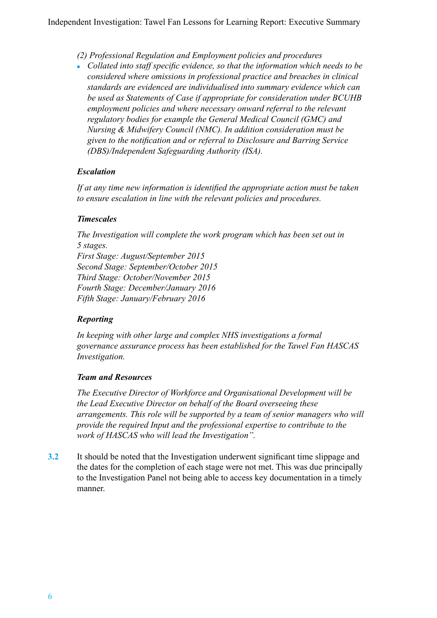*(2) Professional Regulation and Employment policies and procedures*

■ *Collated into staff specific evidence, so that the information which needs to be considered where omissions in professional practice and breaches in clinical standards are evidenced are individualised into summary evidence which can be used as Statements of Case if appropriate for consideration under BCUHB employment policies and where necessary onward referral to the relevant regulatory bodies for example the General Medical Council (GMC) and Nursing & Midwifery Council (NMC). In addition consideration must be given to the notification and or referral to Disclosure and Barring Service (DBS)/Independent Safeguarding Authority (ISA).*

#### *Escalation*

*If at any time new information is identified the appropriate action must be taken to ensure escalation in line with the relevant policies and procedures.*

#### *Timescales*

*The Investigation will complete the work program which has been set out in 5 stages. First Stage: August/September 2015 Second Stage: September/October 2015 Third Stage: October/November 2015 Fourth Stage: December/January 2016 Fifth Stage: January/February 2016*

#### *Reporting*

*In keeping with other large and complex NHS investigations a formal governance assurance process has been established for the Tawel Fan HASCAS Investigation.*

#### *Team and Resources*

*The Executive Director of Workforce and Organisational Development will be the Lead Executive Director on behalf of the Board overseeing these arrangements. This role will be supported by a team of senior managers who will provide the required Input and the professional expertise to contribute to the work of HASCAS who will lead the Investigation".*

**3.2** It should be noted that the Investigation underwent significant time slippage and the dates for the completion of each stage were not met. This was due principally to the Investigation Panel not being able to access key documentation in a timely manner.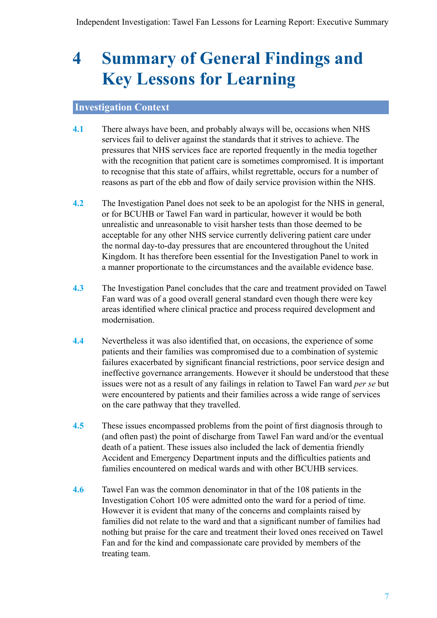## <span id="page-8-0"></span>**4 Summary of General Findings and Key Lessons for Learning**

#### **Investigation Context**

- **4.1** There always have been, and probably always will be, occasions when NHS services fail to deliver against the standards that it strives to achieve. The pressures that NHS services face are reported frequently in the media together with the recognition that patient care is sometimes compromised. It is important to recognise that this state of affairs, whilst regrettable, occurs for a number of reasons as part of the ebb and flow of daily service provision within the NHS.
- **4.2** The Investigation Panel does not seek to be an apologist for the NHS in general, or for BCUHB or Tawel Fan ward in particular, however it would be both unrealistic and unreasonable to visit harsher tests than those deemed to be acceptable for any other NHS service currently delivering patient care under the normal day-to-day pressures that are encountered throughout the United Kingdom. It has therefore been essential for the Investigation Panel to work in a manner proportionate to the circumstances and the available evidence base.
- **4.3** The Investigation Panel concludes that the care and treatment provided on Tawel Fan ward was of a good overall general standard even though there were key areas identified where clinical practice and process required development and modernisation.
- **4.4** Nevertheless it was also identified that, on occasions, the experience of some patients and their families was compromised due to a combination of systemic failures exacerbated by significant financial restrictions, poor service design and ineffective governance arrangements. However it should be understood that these issues were not as a result of any failings in relation to Tawel Fan ward *per se* but were encountered by patients and their families across a wide range of services on the care pathway that they travelled.
- **4.5** These issues encompassed problems from the point of first diagnosis through to (and often past) the point of discharge from Tawel Fan ward and/or the eventual death of a patient. These issues also included the lack of dementia friendly Accident and Emergency Department inputs and the difficulties patients and families encountered on medical wards and with other BCUHB services.
- **4.6** Tawel Fan was the common denominator in that of the 108 patients in the Investigation Cohort 105 were admitted onto the ward for a period of time. However it is evident that many of the concerns and complaints raised by families did not relate to the ward and that a significant number of families had nothing but praise for the care and treatment their loved ones received on Tawel Fan and for the kind and compassionate care provided by members of the treating team.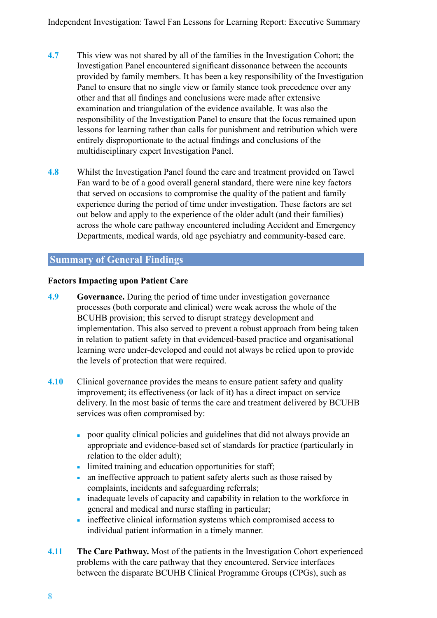- **4.7** This view was not shared by all of the families in the Investigation Cohort; the Investigation Panel encountered significant dissonance between the accounts provided by family members. It has been a key responsibility of the Investigation Panel to ensure that no single view or family stance took precedence over any other and that all findings and conclusions were made after extensive examination and triangulation of the evidence available. It was also the responsibility of the Investigation Panel to ensure that the focus remained upon lessons for learning rather than calls for punishment and retribution which were entirely disproportionate to the actual findings and conclusions of the multidisciplinary expert Investigation Panel.
- **4.8** Whilst the Investigation Panel found the care and treatment provided on Tawel Fan ward to be of a good overall general standard, there were nine key factors that served on occasions to compromise the quality of the patient and family experience during the period of time under investigation. These factors are set out below and apply to the experience of the older adult (and their families) across the whole care pathway encountered including Accident and Emergency Departments, medical wards, old age psychiatry and community-based care.

#### **Summary of General Findings**

#### **Factors Impacting upon Patient Care**

- **4.9 Governance.** During the period of time under investigation governance processes (both corporate and clinical) were weak across the whole of the BCUHB provision; this served to disrupt strategy development and implementation. This also served to prevent a robust approach from being taken in relation to patient safety in that evidenced-based practice and organisational learning were under-developed and could not always be relied upon to provide the levels of protection that were required.
- **4.10** Clinical governance provides the means to ensure patient safety and quality improvement; its effectiveness (or lack of it) has a direct impact on service delivery. In the most basic of terms the care and treatment delivered by BCUHB services was often compromised by:
	- poor quality clinical policies and guidelines that did not always provide an appropriate and evidence-based set of standards for practice (particularly in relation to the older adult);
	- limited training and education opportunities for staff;
	- an ineffective approach to patient safety alerts such as those raised by complaints, incidents and safeguarding referrals;
	- inadequate levels of capacity and capability in relation to the workforce in general and medical and nurse staffing in particular;
	- ineffective clinical information systems which compromised access to individual patient information in a timely manner.
- **4.11 The Care Pathway.** Most of the patients in the Investigation Cohort experienced problems with the care pathway that they encountered. Service interfaces between the disparate BCUHB Clinical Programme Groups (CPGs), such as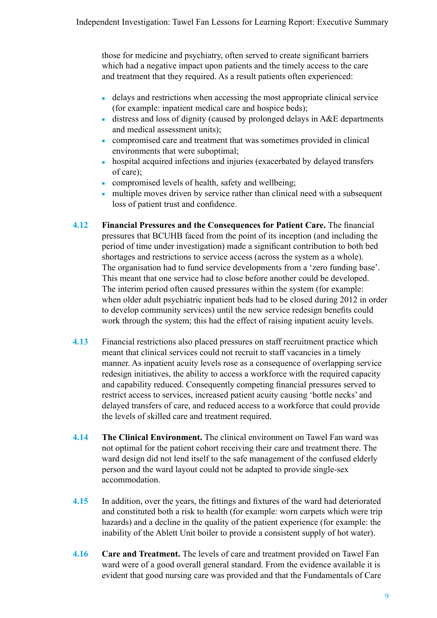those for medicine and psychiatry, often served to create significant barriers which had a negative impact upon patients and the timely access to the care and treatment that they required. As a result patients often experienced:

- delays and restrictions when accessing the most appropriate clinical service (for example: inpatient medical care and hospice beds);
- $\blacksquare$  distress and loss of dignity (caused by prolonged delays in A&E departments and medical assessment units);
- compromised care and treatment that was sometimes provided in clinical environments that were suboptimal;
- hospital acquired infections and injuries (exacerbated by delayed transfers of care);
- compromised levels of health, safety and wellbeing;
- multiple moves driven by service rather than clinical need with a subsequent loss of patient trust and confidence.
- **4.12 Financial Pressures and the Consequences for Patient Care.** The financial pressures that BCUHB faced from the point of its inception (and including the period of time under investigation) made a significant contribution to both bed shortages and restrictions to service access (across the system as a whole). The organisation had to fund service developments from a 'zero funding base'. This meant that one service had to close before another could be developed. The interim period often caused pressures within the system (for example: when older adult psychiatric inpatient beds had to be closed during 2012 in order to develop community services) until the new service redesign benefits could work through the system; this had the effect of raising inpatient acuity levels.
- **4.13** Financial restrictions also placed pressures on staff recruitment practice which meant that clinical services could not recruit to staff vacancies in a timely manner. As inpatient acuity levels rose as a consequence of overlapping service redesign initiatives, the ability to access a workforce with the required capacity and capability reduced. Consequently competing financial pressures served to restrict access to services, increased patient acuity causing 'bottle necks' and delayed transfers of care, and reduced access to a workforce that could provide the levels of skilled care and treatment required.
- **4.14 The Clinical Environment.** The clinical environment on Tawel Fan ward was not optimal for the patient cohort receiving their care and treatment there. The ward design did not lend itself to the safe management of the confused elderly person and the ward layout could not be adapted to provide single-sex accommodation.
- **4.15** In addition, over the years, the fittings and fixtures of the ward had deteriorated and constituted both a risk to health (for example: worn carpets which were trip hazards) and a decline in the quality of the patient experience (for example: the inability of the Ablett Unit boiler to provide a consistent supply of hot water).
- **4.16 Care and Treatment.** The levels of care and treatment provided on Tawel Fan ward were of a good overall general standard. From the evidence available it is evident that good nursing care was provided and that the Fundamentals of Care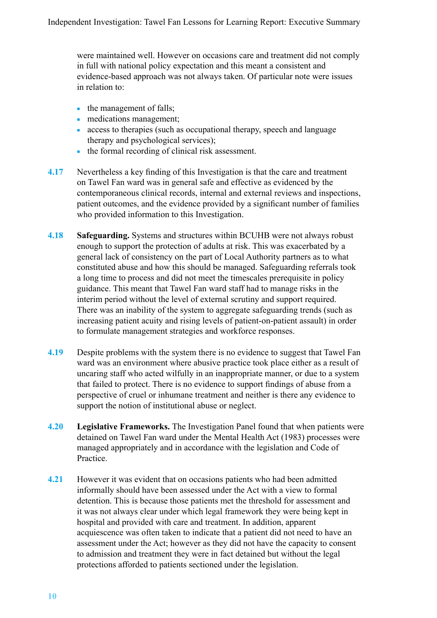were maintained well. However on occasions care and treatment did not comply in full with national policy expectation and this meant a consistent and evidence-based approach was not always taken. Of particular note were issues in relation to:

- the management of falls;
- medications management;
- access to therapies (such as occupational therapy, speech and language therapy and psychological services);
- the formal recording of clinical risk assessment.
- **4.17** Nevertheless a key finding of this Investigation is that the care and treatment on Tawel Fan ward was in general safe and effective as evidenced by the contemporaneous clinical records, internal and external reviews and inspections, patient outcomes, and the evidence provided by a significant number of families who provided information to this Investigation.
- **4.18 Safeguarding.** Systems and structures within BCUHB were not always robust enough to support the protection of adults at risk. This was exacerbated by a general lack of consistency on the part of Local Authority partners as to what constituted abuse and how this should be managed. Safeguarding referrals took a long time to process and did not meet the timescales prerequisite in policy guidance. This meant that Tawel Fan ward staff had to manage risks in the interim period without the level of external scrutiny and support required. There was an inability of the system to aggregate safeguarding trends (such as increasing patient acuity and rising levels of patient-on-patient assault) in order to formulate management strategies and workforce responses.
- **4.19** Despite problems with the system there is no evidence to suggest that Tawel Fan ward was an environment where abusive practice took place either as a result of uncaring staff who acted wilfully in an inappropriate manner, or due to a system that failed to protect. There is no evidence to support findings of abuse from a perspective of cruel or inhumane treatment and neither is there any evidence to support the notion of institutional abuse or neglect.
- **4.20 Legislative Frameworks.** The Investigation Panel found that when patients were detained on Tawel Fan ward under the Mental Health Act (1983) processes were managed appropriately and in accordance with the legislation and Code of Practice.
- **4.21** However it was evident that on occasions patients who had been admitted informally should have been assessed under the Act with a view to formal detention. This is because those patients met the threshold for assessment and it was not always clear under which legal framework they were being kept in hospital and provided with care and treatment. In addition, apparent acquiescence was often taken to indicate that a patient did not need to have an assessment under the Act; however as they did not have the capacity to consent to admission and treatment they were in fact detained but without the legal protections afforded to patients sectioned under the legislation.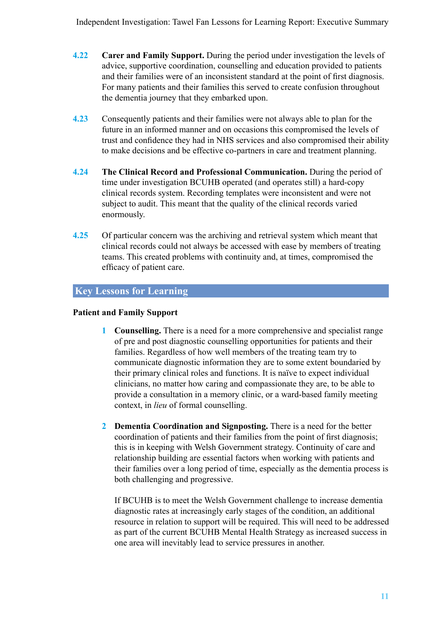Independent Investigation: Tawel Fan Lessons for Learning Report: Executive Summary

- **4.22 Carer and Family Support.** During the period under investigation the levels of advice, supportive coordination, counselling and education provided to patients and their families were of an inconsistent standard at the point of first diagnosis. For many patients and their families this served to create confusion throughout the dementia journey that they embarked upon.
- **4.23** Consequently patients and their families were not always able to plan for the future in an informed manner and on occasions this compromised the levels of trust and confidence they had in NHS services and also compromised their ability to make decisions and be effective co-partners in care and treatment planning.
- **4.24 The Clinical Record and Professional Communication.** During the period of time under investigation BCUHB operated (and operates still) a hard-copy clinical records system. Recording templates were inconsistent and were not subject to audit. This meant that the quality of the clinical records varied enormously.
- **4.25** Of particular concern was the archiving and retrieval system which meant that clinical records could not always be accessed with ease by members of treating teams. This created problems with continuity and, at times, compromised the efficacy of patient care.

#### **Key Lessons for Learning**

#### **Patient and Family Support**

- **1 Counselling.** There is a need for a more comprehensive and specialist range of pre and post diagnostic counselling opportunities for patients and their families. Regardless of how well members of the treating team try to communicate diagnostic information they are to some extent boundaried by their primary clinical roles and functions. It is naïve to expect individual clinicians, no matter how caring and compassionate they are, to be able to provide a consultation in a memory clinic, or a ward-based family meeting context, in *lieu* of formal counselling.
- **2 Dementia Coordination and Signposting.** There is a need for the better coordination of patients and their families from the point of first diagnosis; this is in keeping with Welsh Government strategy. Continuity of care and relationship building are essential factors when working with patients and their families over a long period of time, especially as the dementia process is both challenging and progressive.

If BCUHB is to meet the Welsh Government challenge to increase dementia diagnostic rates at increasingly early stages of the condition, an additional resource in relation to support will be required. This will need to be addressed as part of the current BCUHB Mental Health Strategy as increased success in one area will inevitably lead to service pressures in another.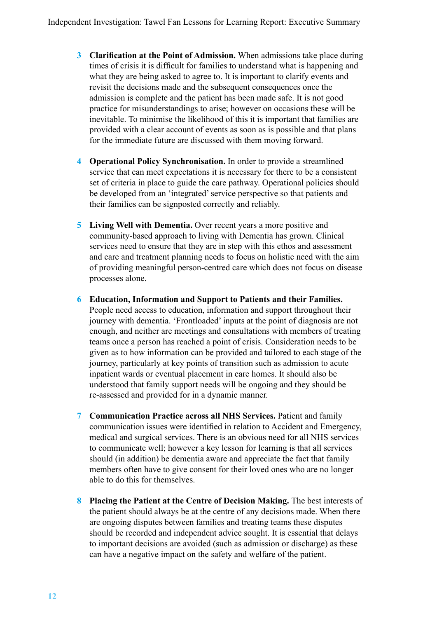- **3 Clarification at the Point of Admission.** When admissions take place during times of crisis it is difficult for families to understand what is happening and what they are being asked to agree to. It is important to clarify events and revisit the decisions made and the subsequent consequences once the admission is complete and the patient has been made safe. It is not good practice for misunderstandings to arise; however on occasions these will be inevitable. To minimise the likelihood of this it is important that families are provided with a clear account of events as soon as is possible and that plans for the immediate future are discussed with them moving forward.
- **4 Operational Policy Synchronisation.** In order to provide a streamlined service that can meet expectations it is necessary for there to be a consistent set of criteria in place to guide the care pathway. Operational policies should be developed from an 'integrated' service perspective so that patients and their families can be signposted correctly and reliably.
- **5 Living Well with Dementia.** Over recent years a more positive and community-based approach to living with Dementia has grown. Clinical services need to ensure that they are in step with this ethos and assessment and care and treatment planning needs to focus on holistic need with the aim of providing meaningful person-centred care which does not focus on disease processes alone.
- **6 Education, Information and Support to Patients and their Families.**  People need access to education, information and support throughout their journey with dementia. 'Frontloaded' inputs at the point of diagnosis are not enough, and neither are meetings and consultations with members of treating teams once a person has reached a point of crisis. Consideration needs to be given as to how information can be provided and tailored to each stage of the journey, particularly at key points of transition such as admission to acute inpatient wards or eventual placement in care homes. It should also be understood that family support needs will be ongoing and they should be re-assessed and provided for in a dynamic manner.
- **7 Communication Practice across all NHS Services.** Patient and family communication issues were identified in relation to Accident and Emergency, medical and surgical services. There is an obvious need for all NHS services to communicate well; however a key lesson for learning is that all services should (in addition) be dementia aware and appreciate the fact that family members often have to give consent for their loved ones who are no longer able to do this for themselves.
- **8 Placing the Patient at the Centre of Decision Making.** The best interests of the patient should always be at the centre of any decisions made. When there are ongoing disputes between families and treating teams these disputes should be recorded and independent advice sought. It is essential that delays to important decisions are avoided (such as admission or discharge) as these can have a negative impact on the safety and welfare of the patient.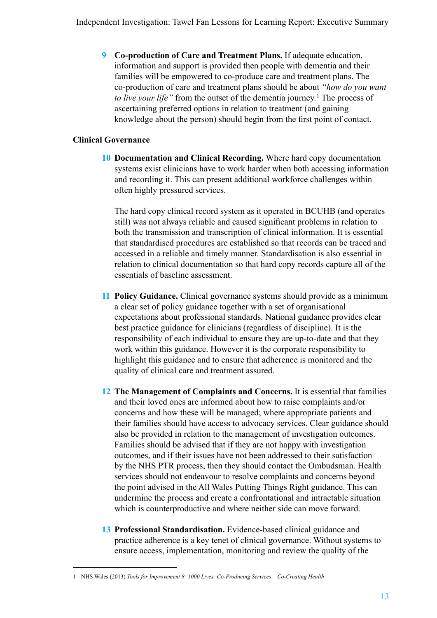**9 Co-production of Care and Treatment Plans.** If adequate education, information and support is provided then people with dementia and their families will be empowered to co-produce care and treatment plans. The co-production of care and treatment plans should be about *"how do you want to live your life"* from the outset of the dementia journey*.* <sup>1</sup> The process of ascertaining preferred options in relation to treatment (and gaining knowledge about the person) should begin from the first point of contact.

#### **Clinical Governance**

**10 Documentation and Clinical Recording.** Where hard copy documentation systems exist clinicians have to work harder when both accessing information and recording it. This can present additional workforce challenges within often highly pressured services.

The hard copy clinical record system as it operated in BCUHB (and operates still) was not always reliable and caused significant problems in relation to both the transmission and transcription of clinical information. It is essential that standardised procedures are established so that records can be traced and accessed in a reliable and timely manner. Standardisation is also essential in relation to clinical documentation so that hard copy records capture all of the essentials of baseline assessment.

- **11 Policy Guidance.** Clinical governance systems should provide as a minimum a clear set of policy guidance together with a set of organisational expectations about professional standards. National guidance provides clear best practice guidance for clinicians (regardless of discipline). It is the responsibility of each individual to ensure they are up-to-date and that they work within this guidance. However it is the corporate responsibility to highlight this guidance and to ensure that adherence is monitored and the quality of clinical care and treatment assured.
- **12 The Management of Complaints and Concerns.** It is essential that families and their loved ones are informed about how to raise complaints and/or concerns and how these will be managed; where appropriate patients and their families should have access to advocacy services. Clear guidance should also be provided in relation to the management of investigation outcomes. Families should be advised that if they are not happy with investigation outcomes, and if their issues have not been addressed to their satisfaction by the NHS PTR process, then they should contact the Ombudsman. Health services should not endeavour to resolve complaints and concerns beyond the point advised in the All Wales Putting Things Right guidance. This can undermine the process and create a confrontational and intractable situation which is counterproductive and where neither side can move forward.
- **13 Professional Standardisation.** Evidence-based clinical guidance and practice adherence is a key tenet of clinical governance. Without systems to ensure access, implementation, monitoring and review the quality of the

<sup>1</sup> NHS Wales (2013) *Tools for Improvement 8: 1000 Lives: Co-Producing Services – Co-Creating Health*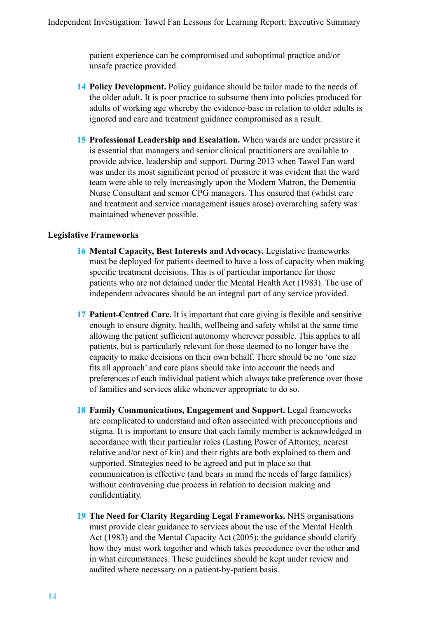patient experience can be compromised and suboptimal practice and/or unsafe practice provided.

- **14 Policy Development.** Policy guidance should be tailor made to the needs of the older adult. It is poor practice to subsume them into policies produced for adults of working age whereby the evidence-base in relation to older adults is ignored and care and treatment guidance compromised as a result.
- **15 Professional Leadership and Escalation.** When wards are under pressure it is essential that managers and senior clinical practitioners are available to provide advice, leadership and support. During 2013 when Tawel Fan ward was under its most significant period of pressure it was evident that the ward team were able to rely increasingly upon the Modern Matron, the Dementia Nurse Consultant and senior CPG managers. This ensured that (whilst care and treatment and service management issues arose) overarching safety was maintained whenever possible.

#### **Legislative Frameworks**

- **16 Mental Capacity, Best Interests and Advocacy.** Legislative frameworks must be deployed for patients deemed to have a loss of capacity when making specific treatment decisions. This is of particular importance for those patients who are not detained under the Mental Health Act (1983). The use of independent advocates should be an integral part of any service provided.
- **17 Patient-Centred Care.** It is important that care giving is flexible and sensitive enough to ensure dignity, health, wellbeing and safety whilst at the same time allowing the patient sufficient autonomy wherever possible. This applies to all patients, but is particularly relevant for those deemed to no longer have the capacity to make decisions on their own behalf. There should be no 'one size fits all approach' and care plans should take into account the needs and preferences of each individual patient which always take preference over those of families and services alike whenever appropriate to do so.
- **18 Family Communications, Engagement and Support.** Legal frameworks are complicated to understand and often associated with preconceptions and stigma. It is important to ensure that each family member is acknowledged in accordance with their particular roles (Lasting Power of Attorney, nearest relative and/or next of kin) and their rights are both explained to them and supported. Strategies need to be agreed and put in place so that communication is effective (and bears in mind the needs of large families) without contravening due process in relation to decision making and confidentiality.
- **19 The Need for Clarity Regarding Legal Frameworks.** NHS organisations must provide clear guidance to services about the use of the Mental Health Act (1983) and the Mental Capacity Act (2005); the guidance should clarify how they must work together and which takes precedence over the other and in what circumstances. These guidelines should be kept under review and audited where necessary on a patient-by-patient basis.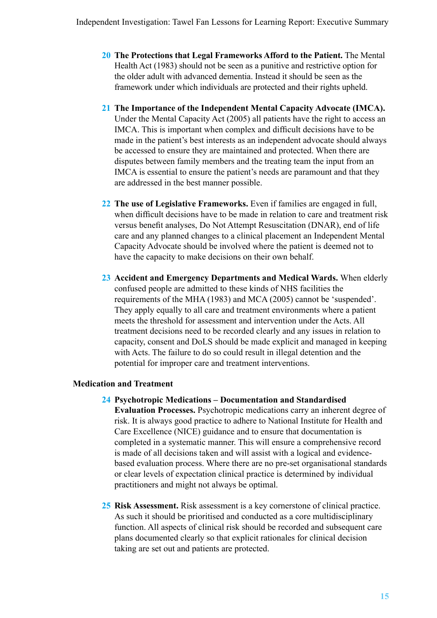- **20 The Protections that Legal Frameworks Afford to the Patient.** The Mental Health Act (1983) should not be seen as a punitive and restrictive option for the older adult with advanced dementia. Instead it should be seen as the framework under which individuals are protected and their rights upheld.
- **21 The Importance of the Independent Mental Capacity Advocate (IMCA).**  Under the Mental Capacity Act (2005) all patients have the right to access an IMCA. This is important when complex and difficult decisions have to be made in the patient's best interests as an independent advocate should always be accessed to ensure they are maintained and protected. When there are disputes between family members and the treating team the input from an IMCA is essential to ensure the patient's needs are paramount and that they are addressed in the best manner possible.
- **22 The use of Legislative Frameworks.** Even if families are engaged in full, when difficult decisions have to be made in relation to care and treatment risk versus benefit analyses, Do Not Attempt Resuscitation (DNAR), end of life care and any planned changes to a clinical placement an Independent Mental Capacity Advocate should be involved where the patient is deemed not to have the capacity to make decisions on their own behalf.
- **23 Accident and Emergency Departments and Medical Wards.** When elderly confused people are admitted to these kinds of NHS facilities the requirements of the MHA (1983) and MCA (2005) cannot be 'suspended'. They apply equally to all care and treatment environments where a patient meets the threshold for assessment and intervention under the Acts. All treatment decisions need to be recorded clearly and any issues in relation to capacity, consent and DoLS should be made explicit and managed in keeping with Acts. The failure to do so could result in illegal detention and the potential for improper care and treatment interventions.

#### **Medication and Treatment**

- **24 Psychotropic Medications Documentation and Standardised Evaluation Processes.** Psychotropic medications carry an inherent degree of risk. It is always good practice to adhere to National Institute for Health and Care Excellence (NICE) guidance and to ensure that documentation is completed in a systematic manner. This will ensure a comprehensive record is made of all decisions taken and will assist with a logical and evidencebased evaluation process. Where there are no pre-set organisational standards or clear levels of expectation clinical practice is determined by individual practitioners and might not always be optimal.
- **25 Risk Assessment.** Risk assessment is a key cornerstone of clinical practice. As such it should be prioritised and conducted as a core multidisciplinary function. All aspects of clinical risk should be recorded and subsequent care plans documented clearly so that explicit rationales for clinical decision taking are set out and patients are protected.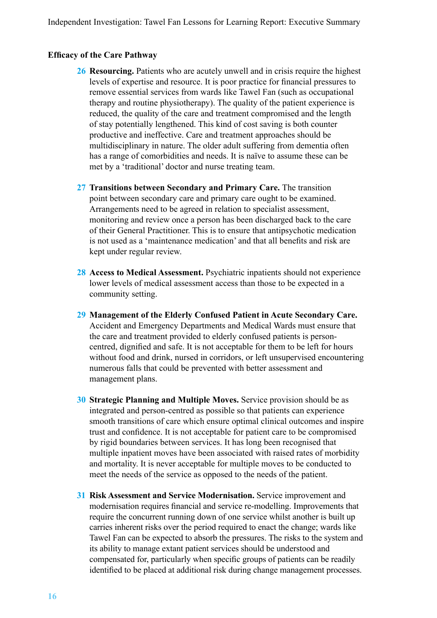#### **Efficacy of the Care Pathway**

- **26 Resourcing.** Patients who are acutely unwell and in crisis require the highest levels of expertise and resource. It is poor practice for financial pressures to remove essential services from wards like Tawel Fan (such as occupational therapy and routine physiotherapy). The quality of the patient experience is reduced, the quality of the care and treatment compromised and the length of stay potentially lengthened. This kind of cost saving is both counter productive and ineffective. Care and treatment approaches should be multidisciplinary in nature. The older adult suffering from dementia often has a range of comorbidities and needs. It is naïve to assume these can be met by a 'traditional' doctor and nurse treating team.
- **27 Transitions between Secondary and Primary Care.** The transition point between secondary care and primary care ought to be examined. Arrangements need to be agreed in relation to specialist assessment, monitoring and review once a person has been discharged back to the care of their General Practitioner. This is to ensure that antipsychotic medication is not used as a 'maintenance medication' and that all benefits and risk are kept under regular review.
- **28 Access to Medical Assessment.** Psychiatric inpatients should not experience lower levels of medical assessment access than those to be expected in a community setting.
- **29 Management of the Elderly Confused Patient in Acute Secondary Care.**  Accident and Emergency Departments and Medical Wards must ensure that the care and treatment provided to elderly confused patients is personcentred, dignified and safe. It is not acceptable for them to be left for hours without food and drink, nursed in corridors, or left unsupervised encountering numerous falls that could be prevented with better assessment and management plans.
- **30 Strategic Planning and Multiple Moves.** Service provision should be as integrated and person-centred as possible so that patients can experience smooth transitions of care which ensure optimal clinical outcomes and inspire trust and confidence. It is not acceptable for patient care to be compromised by rigid boundaries between services. It has long been recognised that multiple inpatient moves have been associated with raised rates of morbidity and mortality. It is never acceptable for multiple moves to be conducted to meet the needs of the service as opposed to the needs of the patient.
- **31 Risk Assessment and Service Modernisation.** Service improvement and modernisation requires financial and service re-modelling. Improvements that require the concurrent running down of one service whilst another is built up carries inherent risks over the period required to enact the change; wards like Tawel Fan can be expected to absorb the pressures. The risks to the system and its ability to manage extant patient services should be understood and compensated for, particularly when specific groups of patients can be readily identified to be placed at additional risk during change management processes.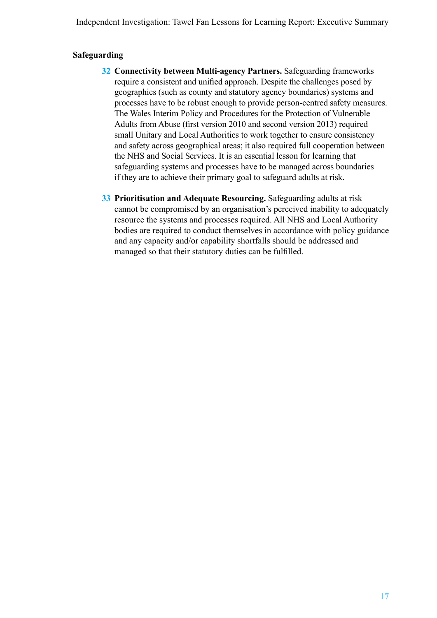Independent Investigation: Tawel Fan Lessons for Learning Report: Executive Summary

#### **Safeguarding**

- **32 Connectivity between Multi-agency Partners.** Safeguarding frameworks require a consistent and unified approach. Despite the challenges posed by geographies (such as county and statutory agency boundaries) systems and processes have to be robust enough to provide person-centred safety measures. The Wales Interim Policy and Procedures for the Protection of Vulnerable Adults from Abuse (first version 2010 and second version 2013) required small Unitary and Local Authorities to work together to ensure consistency and safety across geographical areas; it also required full cooperation between the NHS and Social Services. It is an essential lesson for learning that safeguarding systems and processes have to be managed across boundaries if they are to achieve their primary goal to safeguard adults at risk.
- **33 Prioritisation and Adequate Resourcing.** Safeguarding adults at risk cannot be compromised by an organisation's perceived inability to adequately resource the systems and processes required. All NHS and Local Authority bodies are required to conduct themselves in accordance with policy guidance and any capacity and/or capability shortfalls should be addressed and managed so that their statutory duties can be fulfilled.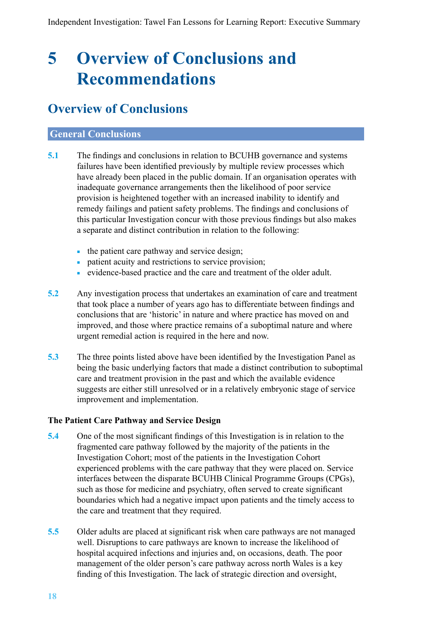## <span id="page-19-0"></span>**5 Overview of Conclusions and Recommendations**

### **Overview of Conclusions**

#### **General Conclusions**

- **5.1** The findings and conclusions in relation to BCUHB governance and systems failures have been identified previously by multiple review processes which have already been placed in the public domain. If an organisation operates with inadequate governance arrangements then the likelihood of poor service provision is heightened together with an increased inability to identify and remedy failings and patient safety problems. The findings and conclusions of this particular Investigation concur with those previous findings but also makes a separate and distinct contribution in relation to the following:
	- the patient care pathway and service design;
	- patient acuity and restrictions to service provision;
	- evidence-based practice and the care and treatment of the older adult.
- **5.2** Any investigation process that undertakes an examination of care and treatment that took place a number of years ago has to differentiate between findings and conclusions that are 'historic' in nature and where practice has moved on and improved, and those where practice remains of a suboptimal nature and where urgent remedial action is required in the here and now.
- **5.3** The three points listed above have been identified by the Investigation Panel as being the basic underlying factors that made a distinct contribution to suboptimal care and treatment provision in the past and which the available evidence suggests are either still unresolved or in a relatively embryonic stage of service improvement and implementation.

#### **The Patient Care Pathway and Service Design**

- **5.4** One of the most significant findings of this Investigation is in relation to the fragmented care pathway followed by the majority of the patients in the Investigation Cohort; most of the patients in the Investigation Cohort experienced problems with the care pathway that they were placed on. Service interfaces between the disparate BCUHB Clinical Programme Groups (CPGs), such as those for medicine and psychiatry, often served to create significant boundaries which had a negative impact upon patients and the timely access to the care and treatment that they required.
- **5.5** Older adults are placed at significant risk when care pathways are not managed well. Disruptions to care pathways are known to increase the likelihood of hospital acquired infections and injuries and, on occasions, death. The poor management of the older person's care pathway across north Wales is a key finding of this Investigation. The lack of strategic direction and oversight,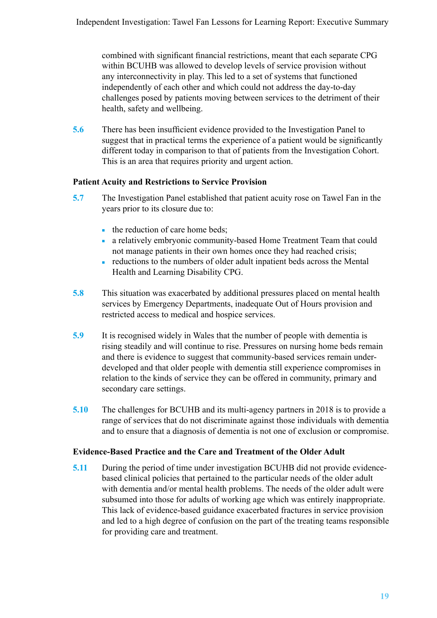combined with significant financial restrictions, meant that each separate CPG within BCUHB was allowed to develop levels of service provision without any interconnectivity in play. This led to a set of systems that functioned independently of each other and which could not address the day-to-day challenges posed by patients moving between services to the detriment of their health, safety and wellbeing.

**5.6** There has been insufficient evidence provided to the Investigation Panel to suggest that in practical terms the experience of a patient would be significantly different today in comparison to that of patients from the Investigation Cohort. This is an area that requires priority and urgent action.

#### **Patient Acuity and Restrictions to Service Provision**

- **5.7** The Investigation Panel established that patient acuity rose on Tawel Fan in the years prior to its closure due to:
	- the reduction of care home beds;
	- a relatively embryonic community-based Home Treatment Team that could not manage patients in their own homes once they had reached crisis;
	- reductions to the numbers of older adult inpatient beds across the Mental Health and Learning Disability CPG.
- **5.8** This situation was exacerbated by additional pressures placed on mental health services by Emergency Departments, inadequate Out of Hours provision and restricted access to medical and hospice services.
- **5.9** It is recognised widely in Wales that the number of people with dementia is rising steadily and will continue to rise. Pressures on nursing home beds remain and there is evidence to suggest that community-based services remain underdeveloped and that older people with dementia still experience compromises in relation to the kinds of service they can be offered in community, primary and secondary care settings.
- **5.10** The challenges for BCUHB and its multi-agency partners in 2018 is to provide a range of services that do not discriminate against those individuals with dementia and to ensure that a diagnosis of dementia is not one of exclusion or compromise.

#### **Evidence-Based Practice and the Care and Treatment of the Older Adult**

**5.11** During the period of time under investigation BCUHB did not provide evidencebased clinical policies that pertained to the particular needs of the older adult with dementia and/or mental health problems. The needs of the older adult were subsumed into those for adults of working age which was entirely inappropriate. This lack of evidence-based guidance exacerbated fractures in service provision and led to a high degree of confusion on the part of the treating teams responsible for providing care and treatment.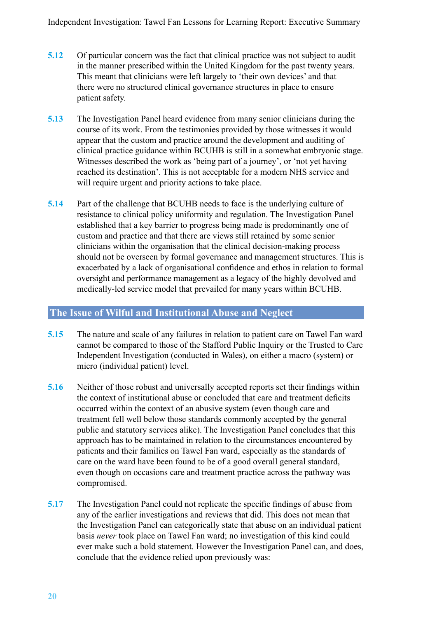- **5.12** Of particular concern was the fact that clinical practice was not subject to audit in the manner prescribed within the United Kingdom for the past twenty years. This meant that clinicians were left largely to 'their own devices' and that there were no structured clinical governance structures in place to ensure patient safety.
- **5.13** The Investigation Panel heard evidence from many senior clinicians during the course of its work. From the testimonies provided by those witnesses it would appear that the custom and practice around the development and auditing of clinical practice guidance within BCUHB is still in a somewhat embryonic stage. Witnesses described the work as 'being part of a journey', or 'not yet having reached its destination'. This is not acceptable for a modern NHS service and will require urgent and priority actions to take place.
- **5.14** Part of the challenge that BCUHB needs to face is the underlying culture of resistance to clinical policy uniformity and regulation. The Investigation Panel established that a key barrier to progress being made is predominantly one of custom and practice and that there are views still retained by some senior clinicians within the organisation that the clinical decision-making process should not be overseen by formal governance and management structures. This is exacerbated by a lack of organisational confidence and ethos in relation to formal oversight and performance management as a legacy of the highly devolved and medically-led service model that prevailed for many years within BCUHB.

#### **The Issue of Wilful and Institutional Abuse and Neglect**

- **5.15** The nature and scale of any failures in relation to patient care on Tawel Fan ward cannot be compared to those of the Stafford Public Inquiry or the Trusted to Care Independent Investigation (conducted in Wales), on either a macro (system) or micro (individual patient) level.
- **5.16** Neither of those robust and universally accepted reports set their findings within the context of institutional abuse or concluded that care and treatment deficits occurred within the context of an abusive system (even though care and treatment fell well below those standards commonly accepted by the general public and statutory services alike). The Investigation Panel concludes that this approach has to be maintained in relation to the circumstances encountered by patients and their families on Tawel Fan ward, especially as the standards of care on the ward have been found to be of a good overall general standard, even though on occasions care and treatment practice across the pathway was compromised.
- **5.17** The Investigation Panel could not replicate the specific findings of abuse from any of the earlier investigations and reviews that did. This does not mean that the Investigation Panel can categorically state that abuse on an individual patient basis *never* took place on Tawel Fan ward; no investigation of this kind could ever make such a bold statement. However the Investigation Panel can, and does, conclude that the evidence relied upon previously was: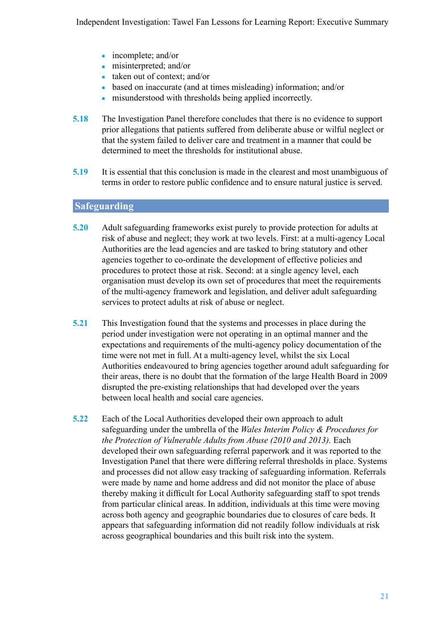- incomplete; and/or
- misinterpreted; and/or
- taken out of context; and/or
- based on inaccurate (and at times misleading) information; and/or
- misunderstood with thresholds being applied incorrectly.
- **5.18** The Investigation Panel therefore concludes that there is no evidence to support prior allegations that patients suffered from deliberate abuse or wilful neglect or that the system failed to deliver care and treatment in a manner that could be determined to meet the thresholds for institutional abuse.
- **5.19** It is essential that this conclusion is made in the clearest and most unambiguous of terms in order to restore public confidence and to ensure natural justice is served.

### **Safeguarding**

- **5.20** Adult safeguarding frameworks exist purely to provide protection for adults at risk of abuse and neglect; they work at two levels. First: at a multi-agency Local Authorities are the lead agencies and are tasked to bring statutory and other agencies together to co-ordinate the development of effective policies and procedures to protect those at risk. Second: at a single agency level, each organisation must develop its own set of procedures that meet the requirements of the multi-agency framework and legislation, and deliver adult safeguarding services to protect adults at risk of abuse or neglect.
- **5.21** This Investigation found that the systems and processes in place during the period under investigation were not operating in an optimal manner and the expectations and requirements of the multi-agency policy documentation of the time were not met in full. At a multi-agency level, whilst the six Local Authorities endeavoured to bring agencies together around adult safeguarding for their areas, there is no doubt that the formation of the large Health Board in 2009 disrupted the pre-existing relationships that had developed over the years between local health and social care agencies.
- **5.22** Each of the Local Authorities developed their own approach to adult safeguarding under the umbrella of the *Wales Interim Policy & Procedures for the Protection of Vulnerable Adults from Abuse (2010 and 2013).* Each developed their own safeguarding referral paperwork and it was reported to the Investigation Panel that there were differing referral thresholds in place. Systems and processes did not allow easy tracking of safeguarding information. Referrals were made by name and home address and did not monitor the place of abuse thereby making it difficult for Local Authority safeguarding staff to spot trends from particular clinical areas. In addition, individuals at this time were moving across both agency and geographic boundaries due to closures of care beds. It appears that safeguarding information did not readily follow individuals at risk across geographical boundaries and this built risk into the system.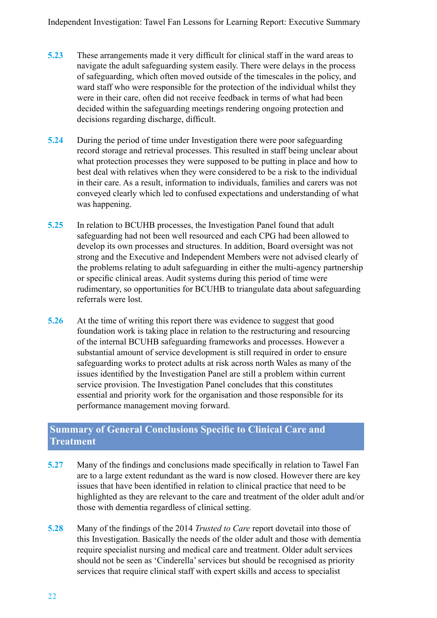- **5.23** These arrangements made it very difficult for clinical staff in the ward areas to navigate the adult safeguarding system easily. There were delays in the process of safeguarding, which often moved outside of the timescales in the policy, and ward staff who were responsible for the protection of the individual whilst they were in their care, often did not receive feedback in terms of what had been decided within the safeguarding meetings rendering ongoing protection and decisions regarding discharge, difficult.
- **5.24** During the period of time under Investigation there were poor safeguarding record storage and retrieval processes. This resulted in staff being unclear about what protection processes they were supposed to be putting in place and how to best deal with relatives when they were considered to be a risk to the individual in their care. As a result, information to individuals, families and carers was not conveyed clearly which led to confused expectations and understanding of what was happening.
- **5.25** In relation to BCUHB processes, the Investigation Panel found that adult safeguarding had not been well resourced and each CPG had been allowed to develop its own processes and structures. In addition, Board oversight was not strong and the Executive and Independent Members were not advised clearly of the problems relating to adult safeguarding in either the multi-agency partnership or specific clinical areas. Audit systems during this period of time were rudimentary, so opportunities for BCUHB to triangulate data about safeguarding referrals were lost.
- **5.26** At the time of writing this report there was evidence to suggest that good foundation work is taking place in relation to the restructuring and resourcing of the internal BCUHB safeguarding frameworks and processes. However a substantial amount of service development is still required in order to ensure safeguarding works to protect adults at risk across north Wales as many of the issues identified by the Investigation Panel are still a problem within current service provision. The Investigation Panel concludes that this constitutes essential and priority work for the organisation and those responsible for its performance management moving forward.

#### **Summary of General Conclusions Specific to Clinical Care and Treatment**

- **5.27** Many of the findings and conclusions made specifically in relation to Tawel Fan are to a large extent redundant as the ward is now closed. However there are key issues that have been identified in relation to clinical practice that need to be highlighted as they are relevant to the care and treatment of the older adult and/or those with dementia regardless of clinical setting.
- **5.28** Many of the findings of the 2014 *Trusted to Care* report dovetail into those of this Investigation. Basically the needs of the older adult and those with dementia require specialist nursing and medical care and treatment. Older adult services should not be seen as 'Cinderella' services but should be recognised as priority services that require clinical staff with expert skills and access to specialist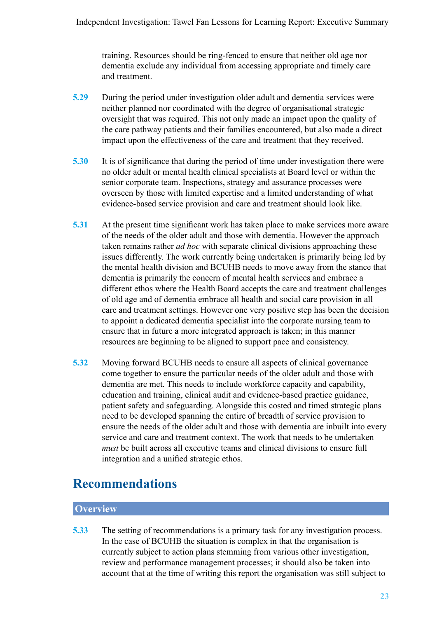<span id="page-24-0"></span>training. Resources should be ring-fenced to ensure that neither old age nor dementia exclude any individual from accessing appropriate and timely care and treatment.

- **5.29** During the period under investigation older adult and dementia services were neither planned nor coordinated with the degree of organisational strategic oversight that was required. This not only made an impact upon the quality of the care pathway patients and their families encountered, but also made a direct impact upon the effectiveness of the care and treatment that they received.
- **5.30** It is of significance that during the period of time under investigation there were no older adult or mental health clinical specialists at Board level or within the senior corporate team. Inspections, strategy and assurance processes were overseen by those with limited expertise and a limited understanding of what evidence-based service provision and care and treatment should look like.
- **5.31** At the present time significant work has taken place to make services more aware of the needs of the older adult and those with dementia. However the approach taken remains rather *ad hoc* with separate clinical divisions approaching these issues differently. The work currently being undertaken is primarily being led by the mental health division and BCUHB needs to move away from the stance that dementia is primarily the concern of mental health services and embrace a different ethos where the Health Board accepts the care and treatment challenges of old age and of dementia embrace all health and social care provision in all care and treatment settings. However one very positive step has been the decision to appoint a dedicated dementia specialist into the corporate nursing team to ensure that in future a more integrated approach is taken; in this manner resources are beginning to be aligned to support pace and consistency.
- **5.32** Moving forward BCUHB needs to ensure all aspects of clinical governance come together to ensure the particular needs of the older adult and those with dementia are met. This needs to include workforce capacity and capability, education and training, clinical audit and evidence-based practice guidance, patient safety and safeguarding. Alongside this costed and timed strategic plans need to be developed spanning the entire of breadth of service provision to ensure the needs of the older adult and those with dementia are inbuilt into every service and care and treatment context. The work that needs to be undertaken *must* be built across all executive teams and clinical divisions to ensure full integration and a unified strategic ethos.

### **Recommendations**

### **Overview**

**5.33** The setting of recommendations is a primary task for any investigation process. In the case of BCUHB the situation is complex in that the organisation is currently subject to action plans stemming from various other investigation, review and performance management processes; it should also be taken into account that at the time of writing this report the organisation was still subject to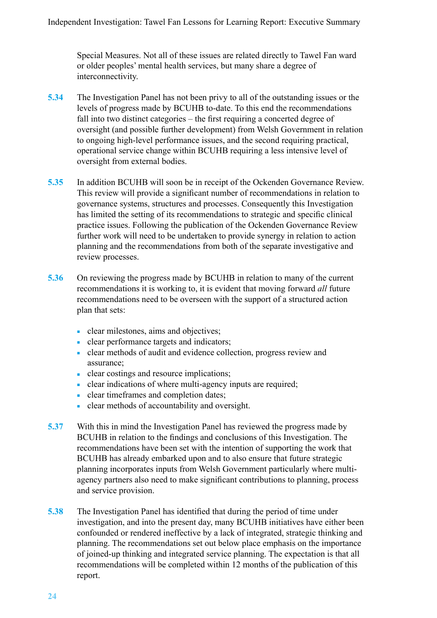Special Measures. Not all of these issues are related directly to Tawel Fan ward or older peoples' mental health services, but many share a degree of interconnectivity.

- **5.34** The Investigation Panel has not been privy to all of the outstanding issues or the levels of progress made by BCUHB to-date. To this end the recommendations fall into two distinct categories – the first requiring a concerted degree of oversight (and possible further development) from Welsh Government in relation to ongoing high-level performance issues, and the second requiring practical, operational service change within BCUHB requiring a less intensive level of oversight from external bodies.
- **5.35** In addition BCUHB will soon be in receipt of the Ockenden Governance Review. This review will provide a significant number of recommendations in relation to governance systems, structures and processes. Consequently this Investigation has limited the setting of its recommendations to strategic and specific clinical practice issues. Following the publication of the Ockenden Governance Review further work will need to be undertaken to provide synergy in relation to action planning and the recommendations from both of the separate investigative and review processes.
- **5.36** On reviewing the progress made by BCUHB in relation to many of the current recommendations it is working to, it is evident that moving forward *all* future recommendations need to be overseen with the support of a structured action plan that sets:
	- clear milestones, aims and objectives;
	- clear performance targets and indicators;
	- clear methods of audit and evidence collection, progress review and assurance;
	- clear costings and resource implications;
	- clear indications of where multi-agency inputs are required;
	- clear timeframes and completion dates;
	- clear methods of accountability and oversight.
- **5.37** With this in mind the Investigation Panel has reviewed the progress made by BCUHB in relation to the findings and conclusions of this Investigation. The recommendations have been set with the intention of supporting the work that BCUHB has already embarked upon and to also ensure that future strategic planning incorporates inputs from Welsh Government particularly where multiagency partners also need to make significant contributions to planning, process and service provision.
- **5.38** The Investigation Panel has identified that during the period of time under investigation, and into the present day, many BCUHB initiatives have either been confounded or rendered ineffective by a lack of integrated, strategic thinking and planning. The recommendations set out below place emphasis on the importance of joined-up thinking and integrated service planning. The expectation is that all recommendations will be completed within 12 months of the publication of this report.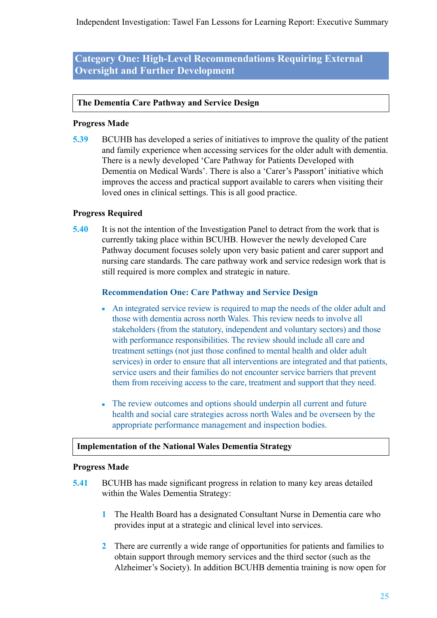Independent Investigation: Tawel Fan Lessons for Learning Report: Executive Summary

**Category One: High-Level Recommendations Requiring External Oversight and Further Development**

#### **The Dementia Care Pathway and Service Design**

#### **Progress Made**

**5.39** BCUHB has developed a series of initiatives to improve the quality of the patient and family experience when accessing services for the older adult with dementia. There is a newly developed 'Care Pathway for Patients Developed with Dementia on Medical Wards'. There is also a 'Carer's Passport' initiative which improves the access and practical support available to carers when visiting their loved ones in clinical settings. This is all good practice.

#### **Progress Required**

**5.40** It is not the intention of the Investigation Panel to detract from the work that is currently taking place within BCUHB. However the newly developed Care Pathway document focuses solely upon very basic patient and carer support and nursing care standards. The care pathway work and service redesign work that is still required is more complex and strategic in nature.

#### **Recommendation One: Care Pathway and Service Design**

- An integrated service review is required to map the needs of the older adult and those with dementia across north Wales. This review needs to involve all stakeholders (from the statutory, independent and voluntary sectors) and those with performance responsibilities. The review should include all care and treatment settings (not just those confined to mental health and older adult services) in order to ensure that all interventions are integrated and that patients, service users and their families do not encounter service barriers that prevent them from receiving access to the care, treatment and support that they need.
- The review outcomes and options should underpin all current and future health and social care strategies across north Wales and be overseen by the appropriate performance management and inspection bodies.

#### **Implementation of the National Wales Dementia Strategy**

#### **Progress Made**

- **5.41** BCUHB has made significant progress in relation to many key areas detailed within the Wales Dementia Strategy:
	- **1** The Health Board has a designated Consultant Nurse in Dementia care who provides input at a strategic and clinical level into services.
	- **2** There are currently a wide range of opportunities for patients and families to obtain support through memory services and the third sector (such as the Alzheimer's Society). In addition BCUHB dementia training is now open for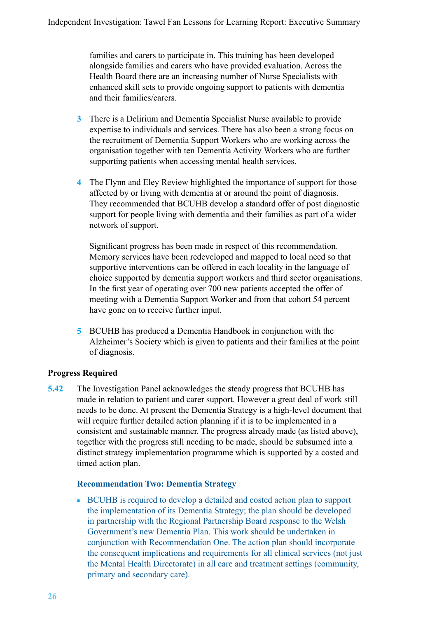families and carers to participate in. This training has been developed alongside families and carers who have provided evaluation. Across the Health Board there are an increasing number of Nurse Specialists with enhanced skill sets to provide ongoing support to patients with dementia and their families/carers.

- **3** There is a Delirium and Dementia Specialist Nurse available to provide expertise to individuals and services. There has also been a strong focus on the recruitment of Dementia Support Workers who are working across the organisation together with ten Dementia Activity Workers who are further supporting patients when accessing mental health services.
- **4** The Flynn and Eley Review highlighted the importance of support for those affected by or living with dementia at or around the point of diagnosis. They recommended that BCUHB develop a standard offer of post diagnostic support for people living with dementia and their families as part of a wider network of support.

Significant progress has been made in respect of this recommendation. Memory services have been redeveloped and mapped to local need so that supportive interventions can be offered in each locality in the language of choice supported by dementia support workers and third sector organisations. In the first year of operating over 700 new patients accepted the offer of meeting with a Dementia Support Worker and from that cohort 54 percent have gone on to receive further input.

**5** BCUHB has produced a Dementia Handbook in conjunction with the Alzheimer's Society which is given to patients and their families at the point of diagnosis.

#### **Progress Required**

**5.42** The Investigation Panel acknowledges the steady progress that BCUHB has made in relation to patient and carer support. However a great deal of work still needs to be done. At present the Dementia Strategy is a high-level document that will require further detailed action planning if it is to be implemented in a consistent and sustainable manner. The progress already made (as listed above), together with the progress still needing to be made, should be subsumed into a distinct strategy implementation programme which is supported by a costed and timed action plan.

#### **Recommendation Two: Dementia Strategy**

■ BCUHB is required to develop a detailed and costed action plan to support the implementation of its Dementia Strategy; the plan should be developed in partnership with the Regional Partnership Board response to the Welsh Government's new Dementia Plan. This work should be undertaken in conjunction with Recommendation One. The action plan should incorporate the consequent implications and requirements for all clinical services (not just the Mental Health Directorate) in all care and treatment settings (community, primary and secondary care).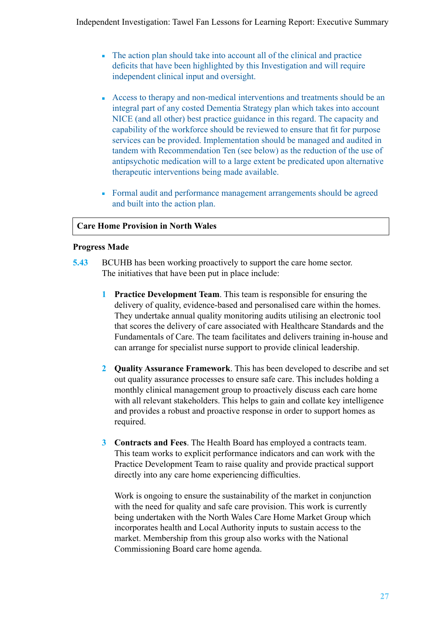- The action plan should take into account all of the clinical and practice deficits that have been highlighted by this Investigation and will require independent clinical input and oversight.
- Access to therapy and non-medical interventions and treatments should be an integral part of any costed Dementia Strategy plan which takes into account NICE (and all other) best practice guidance in this regard. The capacity and capability of the workforce should be reviewed to ensure that fit for purpose services can be provided. Implementation should be managed and audited in tandem with Recommendation Ten (see below) as the reduction of the use of antipsychotic medication will to a large extent be predicated upon alternative therapeutic interventions being made available.
- Formal audit and performance management arrangements should be agreed and built into the action plan.

#### **Care Home Provision in North Wales**

#### **Progress Made**

- **5.43** BCUHB has been working proactively to support the care home sector. The initiatives that have been put in place include:
	- **1 Practice Development Team**. This team is responsible for ensuring the delivery of quality, evidence-based and personalised care within the homes. They undertake annual quality monitoring audits utilising an electronic tool that scores the delivery of care associated with Healthcare Standards and the Fundamentals of Care. The team facilitates and delivers training in-house and can arrange for specialist nurse support to provide clinical leadership.
	- **2 Quality Assurance Framework**. This has been developed to describe and set out quality assurance processes to ensure safe care. This includes holding a monthly clinical management group to proactively discuss each care home with all relevant stakeholders. This helps to gain and collate key intelligence and provides a robust and proactive response in order to support homes as required.
	- **3 Contracts and Fees**. The Health Board has employed a contracts team. This team works to explicit performance indicators and can work with the Practice Development Team to raise quality and provide practical support directly into any care home experiencing difficulties.

Work is ongoing to ensure the sustainability of the market in conjunction with the need for quality and safe care provision. This work is currently being undertaken with the North Wales Care Home Market Group which incorporates health and Local Authority inputs to sustain access to the market. Membership from this group also works with the National Commissioning Board care home agenda.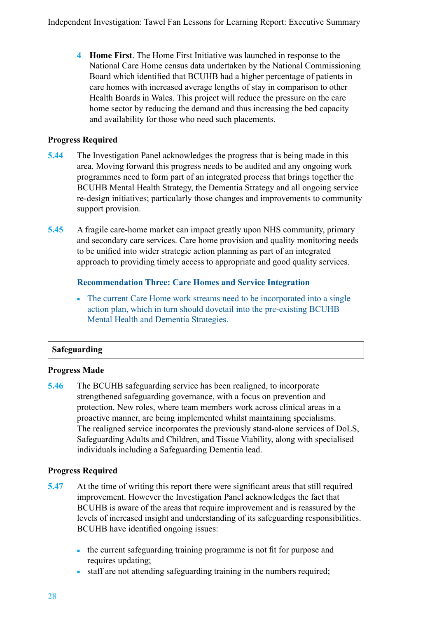**4 Home First**. The Home First Initiative was launched in response to the National Care Home census data undertaken by the National Commissioning Board which identified that BCUHB had a higher percentage of patients in care homes with increased average lengths of stay in comparison to other Health Boards in Wales. This project will reduce the pressure on the care home sector by reducing the demand and thus increasing the bed capacity and availability for those who need such placements.

#### **Progress Required**

- **5.44** The Investigation Panel acknowledges the progress that is being made in this area. Moving forward this progress needs to be audited and any ongoing work programmes need to form part of an integrated process that brings together the BCUHB Mental Health Strategy, the Dementia Strategy and all ongoing service re-design initiatives; particularly those changes and improvements to community support provision.
- **5.45** A fragile care-home market can impact greatly upon NHS community, primary and secondary care services. Care home provision and quality monitoring needs to be unified into wider strategic action planning as part of an integrated approach to providing timely access to appropriate and good quality services.

#### **Recommendation Three: Care Homes and Service Integration**

• The current Care Home work streams need to be incorporated into a single action plan, which in turn should dovetail into the pre-existing BCUHB Mental Health and Dementia Strategies.

#### **Safeguarding**

#### **Progress Made**

**5.46** The BCUHB safeguarding service has been realigned, to incorporate strengthened safeguarding governance, with a focus on prevention and protection. New roles, where team members work across clinical areas in a proactive manner, are being implemented whilst maintaining specialisms. The realigned service incorporates the previously stand-alone services of DoLS, Safeguarding Adults and Children, and Tissue Viability, along with specialised individuals including a Safeguarding Dementia lead.

#### **Progress Required**

- **5.47** At the time of writing this report there were significant areas that still required improvement. However the Investigation Panel acknowledges the fact that BCUHB is aware of the areas that require improvement and is reassured by the levels of increased insight and understanding of its safeguarding responsibilities. BCUHB have identified ongoing issues:
	- the current safeguarding training programme is not fit for purpose and requires updating;
	- staff are not attending safeguarding training in the numbers required;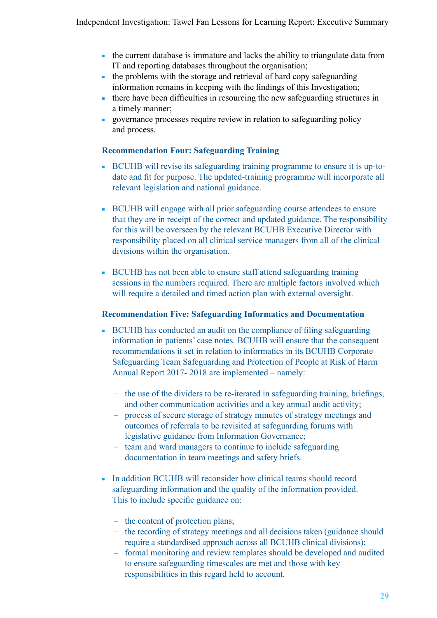- the current database is immature and lacks the ability to triangulate data from IT and reporting databases throughout the organisation;
- the problems with the storage and retrieval of hard copy safeguarding information remains in keeping with the findings of this Investigation;
- there have been difficulties in resourcing the new safeguarding structures in a timely manner;
- governance processes require review in relation to safeguarding policy and process.

#### **Recommendation Four: Safeguarding Training**

- BCUHB will revise its safeguarding training programme to ensure it is up-todate and fit for purpose. The updated-training programme will incorporate all relevant legislation and national guidance.
- BCUHB will engage with all prior safeguarding course attendees to ensure that they are in receipt of the correct and updated guidance. The responsibility for this will be overseen by the relevant BCUHB Executive Director with responsibility placed on all clinical service managers from all of the clinical divisions within the organisation.
- BCUHB has not been able to ensure staff attend safeguarding training sessions in the numbers required. There are multiple factors involved which will require a detailed and timed action plan with external oversight.

#### **Recommendation Five: Safeguarding Informatics and Documentation**

- BCUHB has conducted an audit on the compliance of filing safeguarding information in patients' case notes. BCUHB will ensure that the consequent recommendations it set in relation to informatics in its BCUHB Corporate Safeguarding Team Safeguarding and Protection of People at Risk of Harm Annual Report 2017- 2018 are implemented – namely:
	- ─ the use of the dividers to be re-iterated in safeguarding training, briefings, and other communication activities and a key annual audit activity;
	- ─ process of secure storage of strategy minutes of strategy meetings and outcomes of referrals to be revisited at safeguarding forums with legislative guidance from Information Governance;
	- ─ team and ward managers to continue to include safeguarding documentation in team meetings and safety briefs.
- In addition BCUHB will reconsider how clinical teams should record safeguarding information and the quality of the information provided. This to include specific guidance on:
	- the content of protection plans;
	- the recording of strategy meetings and all decisions taken (guidance should require a standardised approach across all BCUHB clinical divisions);
	- ─ formal monitoring and review templates should be developed and audited to ensure safeguarding timescales are met and those with key responsibilities in this regard held to account.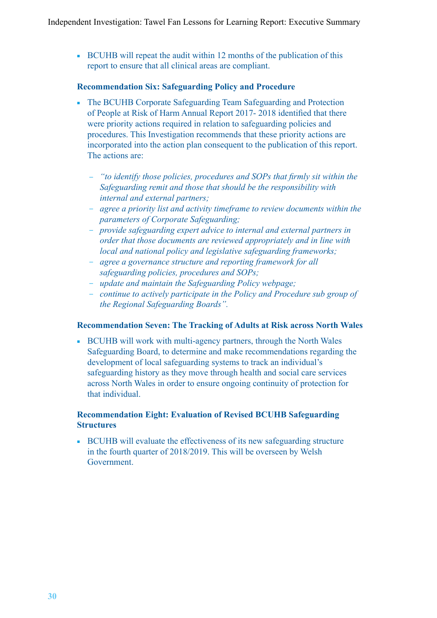■ BCUHB will repeat the audit within 12 months of the publication of this report to ensure that all clinical areas are compliant.

#### **Recommendation Six: Safeguarding Policy and Procedure**

- The BCUHB Corporate Safeguarding Team Safeguarding and Protection of People at Risk of Harm Annual Report 2017- 2018 identified that there were priority actions required in relation to safeguarding policies and procedures. This Investigation recommends that these priority actions are incorporated into the action plan consequent to the publication of this report. The actions are:
	- ─ *"to identify those policies, procedures and SOPs that firmly sit within the Safeguarding remit and those that should be the responsibility with internal and external partners;*
	- ─ *agree a priority list and activity timeframe to review documents within the parameters of Corporate Safeguarding;*
	- ─ *provide safeguarding expert advice to internal and external partners in order that those documents are reviewed appropriately and in line with local and national policy and legislative safeguarding frameworks;*
	- ─ *agree a governance structure and reporting framework for all safeguarding policies, procedures and SOPs;*
	- ─ *update and maintain the Safeguarding Policy webpage;*
	- ─ *continue to actively participate in the Policy and Procedure sub group of the Regional Safeguarding Boards".*

#### **Recommendation Seven: The Tracking of Adults at Risk across North Wales**

■ BCUHB will work with multi-agency partners, through the North Wales Safeguarding Board, to determine and make recommendations regarding the development of local safeguarding systems to track an individual's safeguarding history as they move through health and social care services across North Wales in order to ensure ongoing continuity of protection for that individual.

#### **Recommendation Eight: Evaluation of Revised BCUHB Safeguarding Structures**

■ BCUHB will evaluate the effectiveness of its new safeguarding structure in the fourth quarter of 2018/2019. This will be overseen by Welsh Government.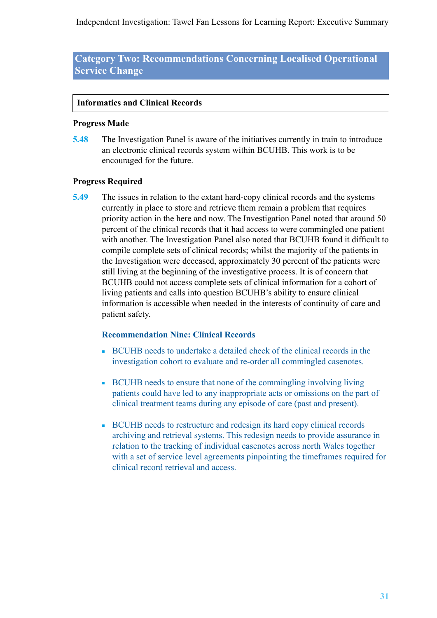Independent Investigation: Tawel Fan Lessons for Learning Report: Executive Summary

**Category Two: Recommendations Concerning Localised Operational Service Change**

#### **Informatics and Clinical Records**

#### **Progress Made**

**5.48** The Investigation Panel is aware of the initiatives currently in train to introduce an electronic clinical records system within BCUHB. This work is to be encouraged for the future.

#### **Progress Required**

**5.49** The issues in relation to the extant hard-copy clinical records and the systems currently in place to store and retrieve them remain a problem that requires priority action in the here and now. The Investigation Panel noted that around 50 percent of the clinical records that it had access to were commingled one patient with another. The Investigation Panel also noted that BCUHB found it difficult to compile complete sets of clinical records; whilst the majority of the patients in the Investigation were deceased, approximately 30 percent of the patients were still living at the beginning of the investigative process. It is of concern that BCUHB could not access complete sets of clinical information for a cohort of living patients and calls into question BCUHB's ability to ensure clinical information is accessible when needed in the interests of continuity of care and patient safety.

#### **Recommendation Nine: Clinical Records**

- BCUHB needs to undertake a detailed check of the clinical records in the investigation cohort to evaluate and re-order all commingled casenotes.
- BCUHB needs to ensure that none of the commingling involving living patients could have led to any inappropriate acts or omissions on the part of clinical treatment teams during any episode of care (past and present).
- BCUHB needs to restructure and redesign its hard copy clinical records archiving and retrieval systems. This redesign needs to provide assurance in relation to the tracking of individual casenotes across north Wales together with a set of service level agreements pinpointing the timeframes required for clinical record retrieval and access.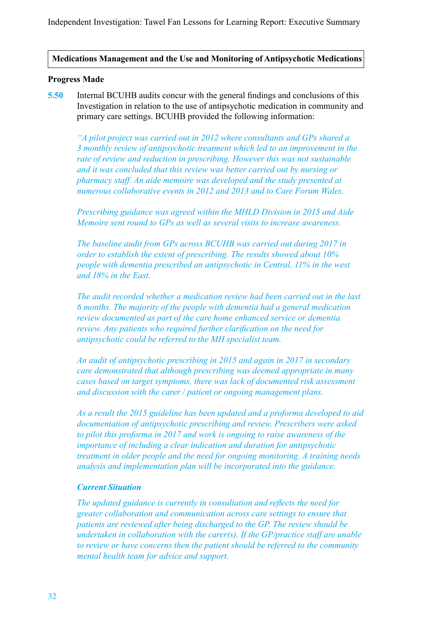#### **Medications Management and the Use and Monitoring of Antipsychotic Medications**

#### **Progress Made**

**5.50** Internal BCUHB audits concur with the general findings and conclusions of this Investigation in relation to the use of antipsychotic medication in community and primary care settings. BCUHB provided the following information:

*"A pilot project was carried out in 2012 where consultants and GPs shared a 3 monthly review of antipsychotic treatment which led to an improvement in the rate of review and reduction in prescribing. However this was not sustainable and it was concluded that this review was better carried out by nursing or pharmacy staff. An aide memoire was developed and the study presented at numerous collaborative events in 2012 and 2013 and to Care Forum Wales.*

*Prescribing guidance was agreed within the MHLD Division in 2015 and Aide Memoire sent round to GPs as well as several visits to increase awareness.*

*The baseline audit from GPs across BCUHB was carried out during 2017 in order to establish the extent of prescribing. The results showed about 10% people with dementia prescribed an antipsychotic in Central, 11% in the west and 18% in the East.* 

*The audit recorded whether a medication review had been carried out in the last 6 months. The majority of the people with dementia had a general medication review documented as part of the care home enhanced service or dementia review. Any patients who required further clarification on the need for antipsychotic could be referred to the MH specialist team.*

*An audit of antipsychotic prescribing in 2015 and again in 2017 in secondary care demonstrated that although prescribing was deemed appropriate in many cases based on target symptoms, there was lack of documented risk assessment and discussion with the carer / patient or ongoing management plans.* 

*As a result the 2015 guideline has been updated and a proforma developed to aid documentation of antipsychotic prescribing and review. Prescribers were asked to pilot this proforma in 2017 and work is ongoing to raise awareness of the importance of including a clear indication and duration for antipsychotic treatment in older people and the need for ongoing monitoring. A training needs analysis and implementation plan will be incorporated into the guidance.*

#### *Current Situation*

*The updated guidance is currently in consultation and reflects the need for greater collaboration and communication across care settings to ensure that patients are reviewed after being discharged to the GP. The review should be undertaken in collaboration with the carer(s). If the GP/practice staff are unable to review or have concerns then the patient should be referred to the community mental health team for advice and support.*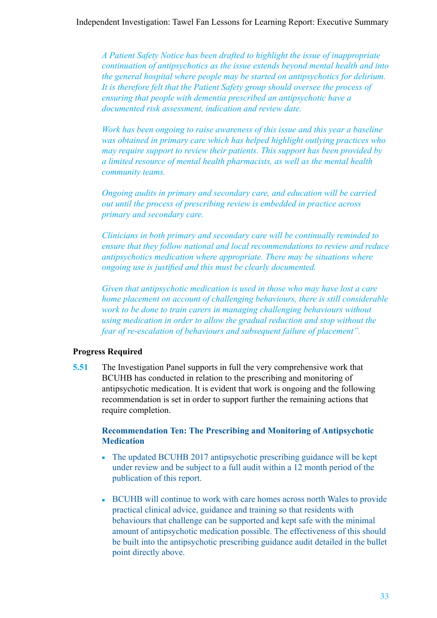#### Independent Investigation: Tawel Fan Lessons for Learning Report: Executive Summary

*A Patient Safety Notice has been drafted to highlight the issue of inappropriate continuation of antipsychotics as the issue extends beyond mental health and into the general hospital where people may be started on antipsychotics for delirium. It is therefore felt that the Patient Safety group should oversee the process of ensuring that people with dementia prescribed an antipsychotic have a documented risk assessment, indication and review date.*

*Work has been ongoing to raise awareness of this issue and this year a baseline was obtained in primary care which has helped highlight outlying practices who may require support to review their patients. This support has been provided by a limited resource of mental health pharmacists, as well as the mental health community teams.*

*Ongoing audits in primary and secondary care, and education will be carried out until the process of prescribing review is embedded in practice across primary and secondary care.* 

*Clinicians in both primary and secondary care will be continually reminded to ensure that they follow national and local recommendations to review and reduce antipsychotics medication where appropriate. There may be situations where ongoing use is justified and this must be clearly documented.*

*Given that antipsychotic medication is used in those who may have lost a care home placement on account of challenging behaviours, there is still considerable work to be done to train carers in managing challenging behaviours without using medication in order to allow the gradual reduction and stop without the fear of re-escalation of behaviours and subsequent failure of placement".*

#### **Progress Required**

**5.51** The Investigation Panel supports in full the very comprehensive work that BCUHB has conducted in relation to the prescribing and monitoring of antipsychotic medication. It is evident that work is ongoing and the following recommendation is set in order to support further the remaining actions that require completion.

#### **Recommendation Ten: The Prescribing and Monitoring of Antipsychotic Medication**

- The updated BCUHB 2017 antipsychotic prescribing guidance will be kept under review and be subject to a full audit within a 12 month period of the publication of this report.
- BCUHB will continue to work with care homes across north Wales to provide practical clinical advice, guidance and training so that residents with behaviours that challenge can be supported and kept safe with the minimal amount of antipsychotic medication possible. The effectiveness of this should be built into the antipsychotic prescribing guidance audit detailed in the bullet point directly above.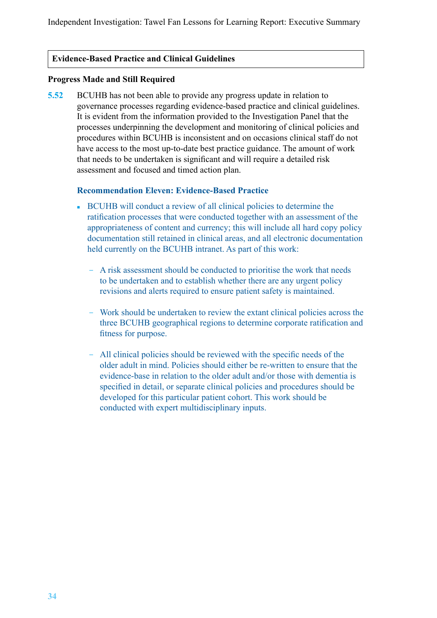#### **Evidence-Based Practice and Clinical Guidelines**

#### **Progress Made and Still Required**

**5.52** BCUHB has not been able to provide any progress update in relation to governance processes regarding evidence-based practice and clinical guidelines. It is evident from the information provided to the Investigation Panel that the processes underpinning the development and monitoring of clinical policies and procedures within BCUHB is inconsistent and on occasions clinical staff do not have access to the most up-to-date best practice guidance. The amount of work that needs to be undertaken is significant and will require a detailed risk assessment and focused and timed action plan.

#### **Recommendation Eleven: Evidence-Based Practice**

- BCUHB will conduct a review of all clinical policies to determine the ratification processes that were conducted together with an assessment of the appropriateness of content and currency; this will include all hard copy policy documentation still retained in clinical areas, and all electronic documentation held currently on the BCUHB intranet. As part of this work:
	- ─ A risk assessment should be conducted to prioritise the work that needs to be undertaken and to establish whether there are any urgent policy revisions and alerts required to ensure patient safety is maintained.
	- Work should be undertaken to review the extant clinical policies across the three BCUHB geographical regions to determine corporate ratification and fitness for purpose.
	- All clinical policies should be reviewed with the specific needs of the older adult in mind. Policies should either be re-written to ensure that the evidence-base in relation to the older adult and/or those with dementia is specified in detail, or separate clinical policies and procedures should be developed for this particular patient cohort. This work should be conducted with expert multidisciplinary inputs.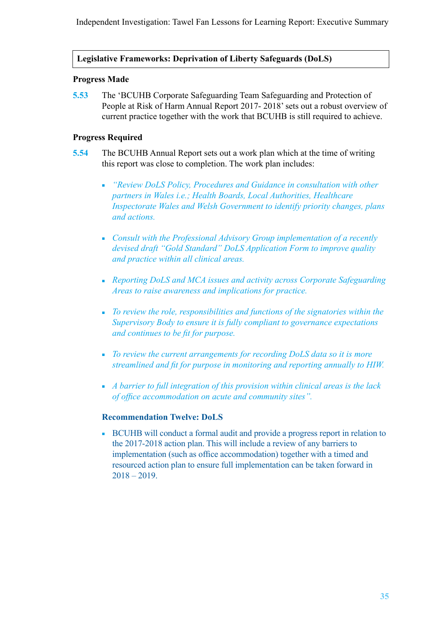#### **Legislative Frameworks: Deprivation of Liberty Safeguards (DoLS)**

#### **Progress Made**

**5.53** The 'BCUHB Corporate Safeguarding Team Safeguarding and Protection of People at Risk of Harm Annual Report 2017- 2018' sets out a robust overview of current practice together with the work that BCUHB is still required to achieve.

#### **Progress Required**

- **5.54** The BCUHB Annual Report sets out a work plan which at the time of writing this report was close to completion. The work plan includes:
	- *"Review DoLS Policy, Procedures and Guidance in consultation with other partners in Wales i.e.; Health Boards, Local Authorities, Healthcare Inspectorate Wales and Welsh Government to identify priority changes, plans and actions.*
	- *Consult with the Professional Advisory Group implementation of a recently devised draft "Gold Standard" DoLS Application Form to improve quality and practice within all clinical areas.*
	- *Reporting DoLS and MCA issues and activity across Corporate Safeguarding Areas to raise awareness and implications for practice.*
	- *To review the role, responsibilities and functions of the signatories within the Supervisory Body to ensure it is fully compliant to governance expectations and continues to be fit for purpose.*
	- *To review the current arrangements for recording DoLS data so it is more streamlined and fit for purpose in monitoring and reporting annually to HIW.*
	- *A barrier to full integration of this provision within clinical areas is the lack of office accommodation on acute and community sites".*

#### **Recommendation Twelve: DoLS**

■ BCUHB will conduct a formal audit and provide a progress report in relation to the 2017-2018 action plan. This will include a review of any barriers to implementation (such as office accommodation) together with a timed and resourced action plan to ensure full implementation can be taken forward in  $2018 - 2019$ .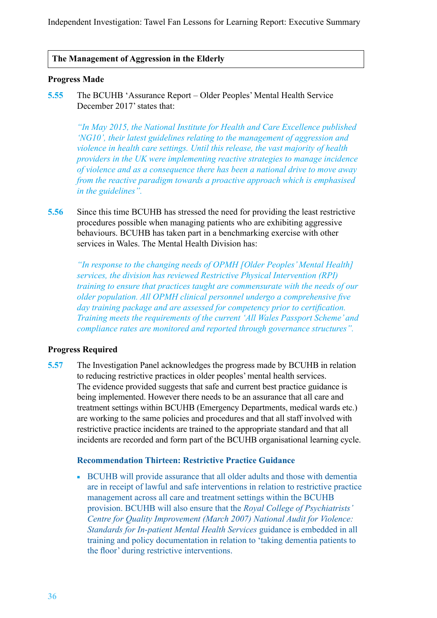#### **The Management of Aggression in the Elderly**

#### **Progress Made**

**5.55** The BCUHB 'Assurance Report – Older Peoples' Mental Health Service December 2017' states that:

*"In May 2015, the National Institute for Health and Care Excellence published 'NG10', their latest guidelines relating to the management of aggression and violence in health care settings. Until this release, the vast majority of health providers in the UK were implementing reactive strategies to manage incidence of violence and as a consequence there has been a national drive to move away from the reactive paradigm towards a proactive approach which is emphasised in the guidelines".*

**5.56** Since this time BCUHB has stressed the need for providing the least restrictive procedures possible when managing patients who are exhibiting aggressive behaviours. BCUHB has taken part in a benchmarking exercise with other services in Wales. The Mental Health Division has:

*"In response to the changing needs of OPMH [Older Peoples' Mental Health] services, the division has reviewed Restrictive Physical Intervention (RPI) training to ensure that practices taught are commensurate with the needs of our older population. All OPMH clinical personnel undergo a comprehensive five day training package and are assessed for competency prior to certification. Training meets the requirements of the current 'All Wales Passport Scheme' and compliance rates are monitored and reported through governance structures".*

#### **Progress Required**

**5.57** The Investigation Panel acknowledges the progress made by BCUHB in relation to reducing restrictive practices in older peoples' mental health services. The evidence provided suggests that safe and current best practice guidance is being implemented. However there needs to be an assurance that all care and treatment settings within BCUHB (Emergency Departments, medical wards etc.) are working to the same policies and procedures and that all staff involved with restrictive practice incidents are trained to the appropriate standard and that all incidents are recorded and form part of the BCUHB organisational learning cycle.

#### **Recommendation Thirteen: Restrictive Practice Guidance**

■ BCUHB will provide assurance that all older adults and those with dementia are in receipt of lawful and safe interventions in relation to restrictive practice management across all care and treatment settings within the BCUHB provision. BCUHB will also ensure that the *Royal College of Psychiatrists' Centre for Quality Improvement (March 2007) National Audit for Violence: Standards for In-patient Mental Health Services* guidance is embedded in all training and policy documentation in relation to 'taking dementia patients to the floor' during restrictive interventions.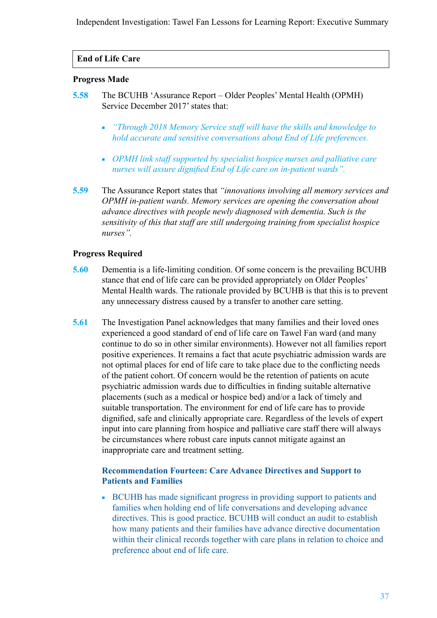Independent Investigation: Tawel Fan Lessons for Learning Report: Executive Summary

#### **End of Life Care**

#### **Progress Made**

- **5.58** The BCUHB 'Assurance Report Older Peoples' Mental Health (OPMH) Service December 2017' states that:
	- *"Through 2018 Memory Service staff will have the skills and knowledge to hold accurate and sensitive conversations about End of Life preferences.*
	- *OPMH link staff supported by specialist hospice nurses and palliative care nurses will assure dignified End of Life care on in-patient wards".*
- **5.59** The Assurance Report states that *"innovations involving all memory services and OPMH in-patient wards. Memory services are opening the conversation about advance directives with people newly diagnosed with dementia. Such is the sensitivity of this that staff are still undergoing training from specialist hospice nurses".*

#### **Progress Required**

- **5.60** Dementia is a life-limiting condition. Of some concern is the prevailing BCUHB stance that end of life care can be provided appropriately on Older Peoples' Mental Health wards. The rationale provided by BCUHB is that this is to prevent any unnecessary distress caused by a transfer to another care setting.
- **5.61** The Investigation Panel acknowledges that many families and their loved ones experienced a good standard of end of life care on Tawel Fan ward (and many continue to do so in other similar environments). However not all families report positive experiences. It remains a fact that acute psychiatric admission wards are not optimal places for end of life care to take place due to the conflicting needs of the patient cohort. Of concern would be the retention of patients on acute psychiatric admission wards due to difficulties in finding suitable alternative placements (such as a medical or hospice bed) and/or a lack of timely and suitable transportation. The environment for end of life care has to provide dignified, safe and clinically appropriate care. Regardless of the levels of expert input into care planning from hospice and palliative care staff there will always be circumstances where robust care inputs cannot mitigate against an inappropriate care and treatment setting.

#### **Recommendation Fourteen: Care Advance Directives and Support to Patients and Families**

■ BCUHB has made significant progress in providing support to patients and families when holding end of life conversations and developing advance directives. This is good practice. BCUHB will conduct an audit to establish how many patients and their families have advance directive documentation within their clinical records together with care plans in relation to choice and preference about end of life care.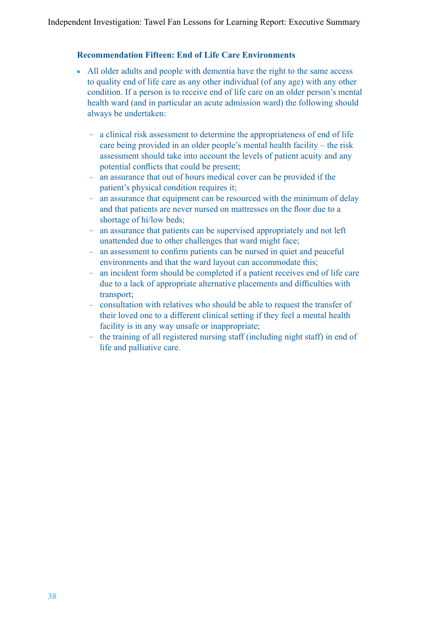#### **Recommendation Fifteen: End of Life Care Environments**

- All older adults and people with dementia have the right to the same access to quality end of life care as any other individual (of any age) with any other condition. If a person is to receive end of life care on an older person's mental health ward (and in particular an acute admission ward) the following should always be undertaken:
	- ─ a clinical risk assessment to determine the appropriateness of end of life care being provided in an older people's mental health facility – the risk assessment should take into account the levels of patient acuity and any potential conflicts that could be present;
	- an assurance that out of hours medical cover can be provided if the patient's physical condition requires it;
	- an assurance that equipment can be resourced with the minimum of delay and that patients are never nursed on mattresses on the floor due to a shortage of hi/low beds;
	- an assurance that patients can be supervised appropriately and not left unattended due to other challenges that ward might face;
	- ─ an assessment to confirm patients can be nursed in quiet and peaceful environments and that the ward layout can accommodate this;
	- an incident form should be completed if a patient receives end of life care due to a lack of appropriate alternative placements and difficulties with transport;
	- ─ consultation with relatives who should be able to request the transfer of their loved one to a different clinical setting if they feel a mental health facility is in any way unsafe or inappropriate;
	- ─ the training of all registered nursing staff (including night staff) in end of life and palliative care.